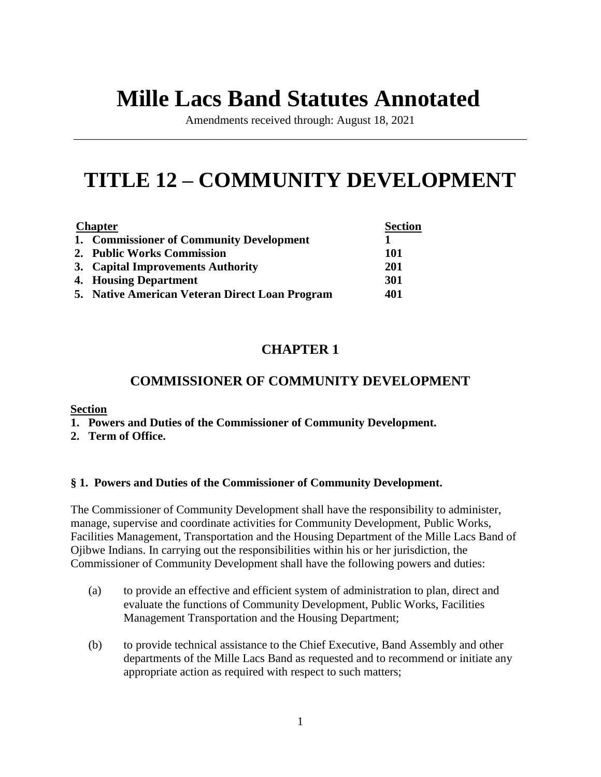# **Mille Lacs Band Statutes Annotated**

Amendments received through: August 18, 2021 \_\_\_\_\_\_\_\_\_\_\_\_\_\_\_\_\_\_\_\_\_\_\_\_\_\_\_\_\_\_\_\_\_\_\_\_\_\_\_\_\_\_\_\_\_\_\_\_\_\_\_\_\_\_\_\_\_\_\_\_\_\_\_\_\_\_\_\_\_\_\_\_\_\_\_\_\_

# **TITLE 12 – COMMUNITY DEVELOPMENT**

| <b>Chapter</b> |                                                | <b>Section</b> |
|----------------|------------------------------------------------|----------------|
|                | 1. Commissioner of Community Development       |                |
|                | 2. Public Works Commission                     | 101            |
|                | 3. Capital Improvements Authority              | 201            |
|                | 4. Housing Department                          | 301            |
|                | 5. Native American Veteran Direct Loan Program | 401            |

# **CHAPTER 1**

# **COMMISSIONER OF COMMUNITY DEVELOPMENT**

# **Section**

- **1. Powers and Duties of the Commissioner of Community Development.**
- **2. Term of Office.**

# **§ 1. Powers and Duties of the Commissioner of Community Development.**

The Commissioner of Community Development shall have the responsibility to administer, manage, supervise and coordinate activities for Community Development, Public Works, Facilities Management, Transportation and the Housing Department of the Mille Lacs Band of Ojibwe Indians. In carrying out the responsibilities within his or her jurisdiction, the Commissioner of Community Development shall have the following powers and duties:

- (a) to provide an effective and efficient system of administration to plan, direct and evaluate the functions of Community Development, Public Works, Facilities Management Transportation and the Housing Department;
- (b) to provide technical assistance to the Chief Executive, Band Assembly and other departments of the Mille Lacs Band as requested and to recommend or initiate any appropriate action as required with respect to such matters;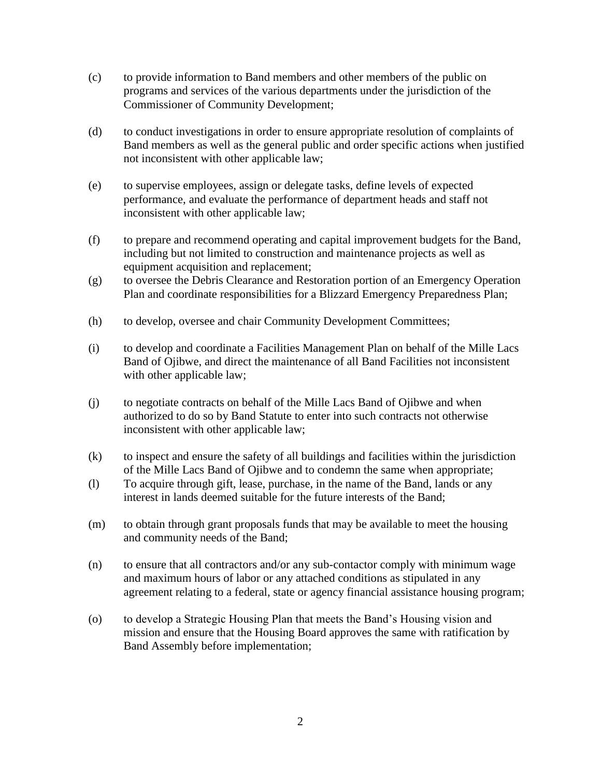- (c) to provide information to Band members and other members of the public on programs and services of the various departments under the jurisdiction of the Commissioner of Community Development;
- (d) to conduct investigations in order to ensure appropriate resolution of complaints of Band members as well as the general public and order specific actions when justified not inconsistent with other applicable law;
- (e) to supervise employees, assign or delegate tasks, define levels of expected performance, and evaluate the performance of department heads and staff not inconsistent with other applicable law;
- (f) to prepare and recommend operating and capital improvement budgets for the Band, including but not limited to construction and maintenance projects as well as equipment acquisition and replacement;
- (g) to oversee the Debris Clearance and Restoration portion of an Emergency Operation Plan and coordinate responsibilities for a Blizzard Emergency Preparedness Plan;
- (h) to develop, oversee and chair Community Development Committees;
- (i) to develop and coordinate a Facilities Management Plan on behalf of the Mille Lacs Band of Ojibwe, and direct the maintenance of all Band Facilities not inconsistent with other applicable law;
- (j) to negotiate contracts on behalf of the Mille Lacs Band of Ojibwe and when authorized to do so by Band Statute to enter into such contracts not otherwise inconsistent with other applicable law;
- (k) to inspect and ensure the safety of all buildings and facilities within the jurisdiction of the Mille Lacs Band of Ojibwe and to condemn the same when appropriate;
- (l) To acquire through gift, lease, purchase, in the name of the Band, lands or any interest in lands deemed suitable for the future interests of the Band;
- (m) to obtain through grant proposals funds that may be available to meet the housing and community needs of the Band;
- (n) to ensure that all contractors and/or any sub-contactor comply with minimum wage and maximum hours of labor or any attached conditions as stipulated in any agreement relating to a federal, state or agency financial assistance housing program;
- (o) to develop a Strategic Housing Plan that meets the Band's Housing vision and mission and ensure that the Housing Board approves the same with ratification by Band Assembly before implementation;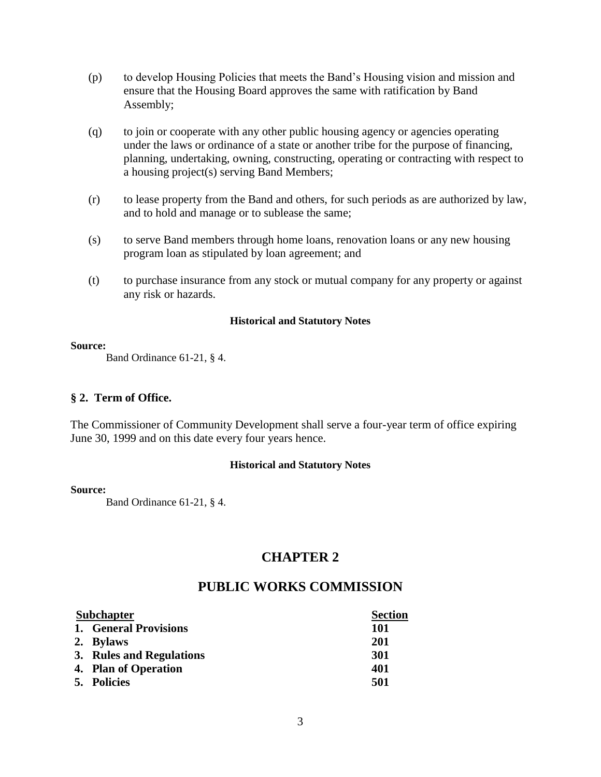- (p) to develop Housing Policies that meets the Band's Housing vision and mission and ensure that the Housing Board approves the same with ratification by Band Assembly;
- (q) to join or cooperate with any other public housing agency or agencies operating under the laws or ordinance of a state or another tribe for the purpose of financing, planning, undertaking, owning, constructing, operating or contracting with respect to a housing project(s) serving Band Members;
- (r) to lease property from the Band and others, for such periods as are authorized by law, and to hold and manage or to sublease the same;
- (s) to serve Band members through home loans, renovation loans or any new housing program loan as stipulated by loan agreement; and
- (t) to purchase insurance from any stock or mutual company for any property or against any risk or hazards.

#### **Source:**

Band Ordinance 61-21, § 4.

# **§ 2. Term of Office.**

The Commissioner of Community Development shall serve a four-year term of office expiring June 30, 1999 and on this date every four years hence.

# **Historical and Statutory Notes**

#### **Source:**

Band Ordinance 61-21, § 4.

# **CHAPTER 2**

# **PUBLIC WORKS COMMISSION**

| <b>Subchapter</b> |                          | <b>Section</b> |
|-------------------|--------------------------|----------------|
|                   | 1. General Provisions    | <b>101</b>     |
|                   | 2. Bylaws                | 201            |
|                   | 3. Rules and Regulations | <b>301</b>     |
|                   | 4. Plan of Operation     | 401            |
|                   | 5. Policies              | 501            |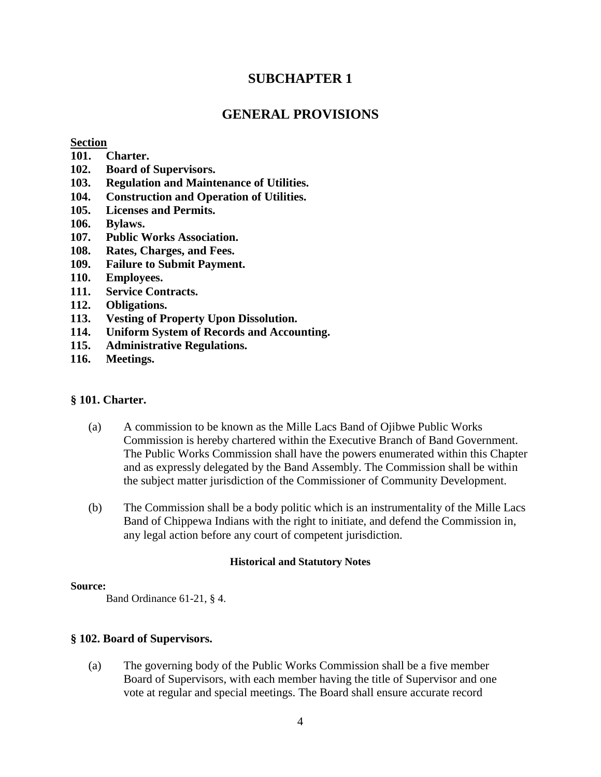# **SUBCHAPTER 1**

# **GENERAL PROVISIONS**

# **Section**

- **101. Charter.**
- **102. Board of Supervisors.**
- **103. Regulation and Maintenance of Utilities.**
- **104. Construction and Operation of Utilities.**
- **105. Licenses and Permits.**
- **106. Bylaws.**
- **107. Public Works Association.**
- **108. Rates, Charges, and Fees.**
- **109. Failure to Submit Payment.**
- **110. Employees.**
- **111. Service Contracts.**
- **112. Obligations.**
- **113. Vesting of Property Upon Dissolution.**
- **114. Uniform System of Records and Accounting.**
- **115. Administrative Regulations.**
- **116. Meetings.**

# **§ 101. Charter.**

- (a) A commission to be known as the Mille Lacs Band of Ojibwe Public Works Commission is hereby chartered within the Executive Branch of Band Government. The Public Works Commission shall have the powers enumerated within this Chapter and as expressly delegated by the Band Assembly. The Commission shall be within the subject matter jurisdiction of the Commissioner of Community Development.
- (b) The Commission shall be a body politic which is an instrumentality of the Mille Lacs Band of Chippewa Indians with the right to initiate, and defend the Commission in, any legal action before any court of competent jurisdiction.

# **Historical and Statutory Notes**

# **Source:**

Band Ordinance 61-21, § 4.

# **§ 102. Board of Supervisors.**

(a) The governing body of the Public Works Commission shall be a five member Board of Supervisors, with each member having the title of Supervisor and one vote at regular and special meetings. The Board shall ensure accurate record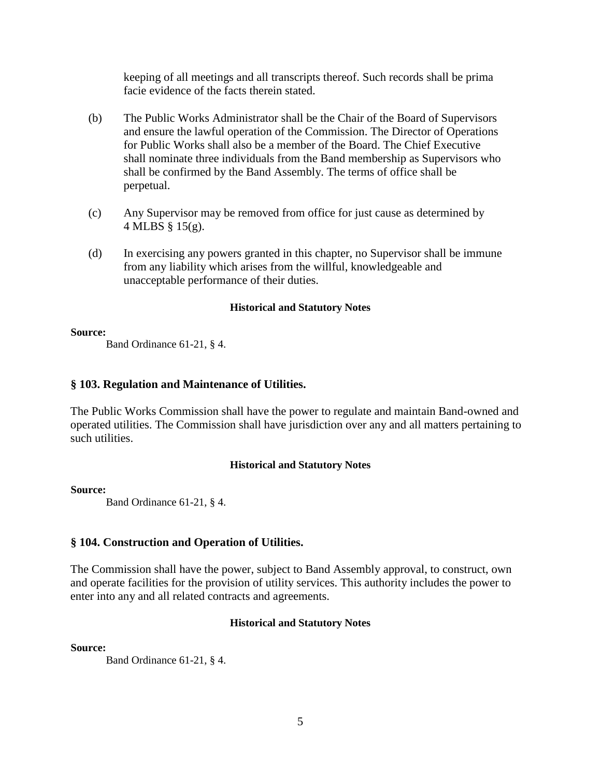keeping of all meetings and all transcripts thereof. Such records shall be prima facie evidence of the facts therein stated.

- (b) The Public Works Administrator shall be the Chair of the Board of Supervisors and ensure the lawful operation of the Commission. The Director of Operations for Public Works shall also be a member of the Board. The Chief Executive shall nominate three individuals from the Band membership as Supervisors who shall be confirmed by the Band Assembly. The terms of office shall be perpetual.
- (c) Any Supervisor may be removed from office for just cause as determined by 4 MLBS § 15(g).
- (d) In exercising any powers granted in this chapter, no Supervisor shall be immune from any liability which arises from the willful, knowledgeable and unacceptable performance of their duties.

# **Historical and Statutory Notes**

# **Source:**

Band Ordinance 61-21, § 4.

# **§ 103. Regulation and Maintenance of Utilities.**

The Public Works Commission shall have the power to regulate and maintain Band-owned and operated utilities. The Commission shall have jurisdiction over any and all matters pertaining to such utilities.

# **Historical and Statutory Notes**

# **Source:**

Band Ordinance 61-21, § 4.

# **§ 104. Construction and Operation of Utilities.**

The Commission shall have the power, subject to Band Assembly approval, to construct, own and operate facilities for the provision of utility services. This authority includes the power to enter into any and all related contracts and agreements.

# **Historical and Statutory Notes**

**Source:**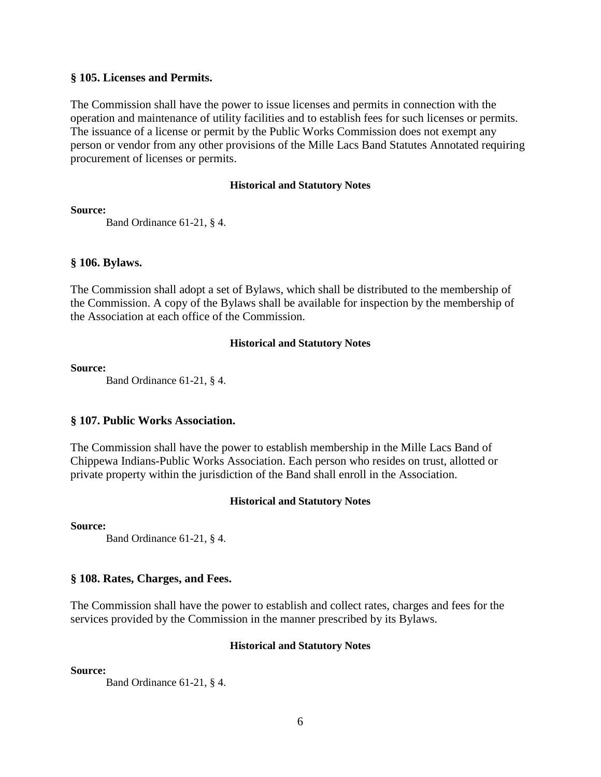# **§ 105. Licenses and Permits.**

The Commission shall have the power to issue licenses and permits in connection with the operation and maintenance of utility facilities and to establish fees for such licenses or permits. The issuance of a license or permit by the Public Works Commission does not exempt any person or vendor from any other provisions of the Mille Lacs Band Statutes Annotated requiring procurement of licenses or permits.

# **Historical and Statutory Notes**

**Source:**

Band Ordinance 61-21, § 4.

# **§ 106. Bylaws.**

The Commission shall adopt a set of Bylaws, which shall be distributed to the membership of the Commission. A copy of the Bylaws shall be available for inspection by the membership of the Association at each office of the Commission.

# **Historical and Statutory Notes**

# **Source:**

Band Ordinance 61-21, § 4.

# **§ 107. Public Works Association.**

The Commission shall have the power to establish membership in the Mille Lacs Band of Chippewa Indians-Public Works Association. Each person who resides on trust, allotted or private property within the jurisdiction of the Band shall enroll in the Association.

# **Historical and Statutory Notes**

**Source:**

Band Ordinance 61-21, § 4.

# **§ 108. Rates, Charges, and Fees.**

The Commission shall have the power to establish and collect rates, charges and fees for the services provided by the Commission in the manner prescribed by its Bylaws.

# **Historical and Statutory Notes**

# **Source:**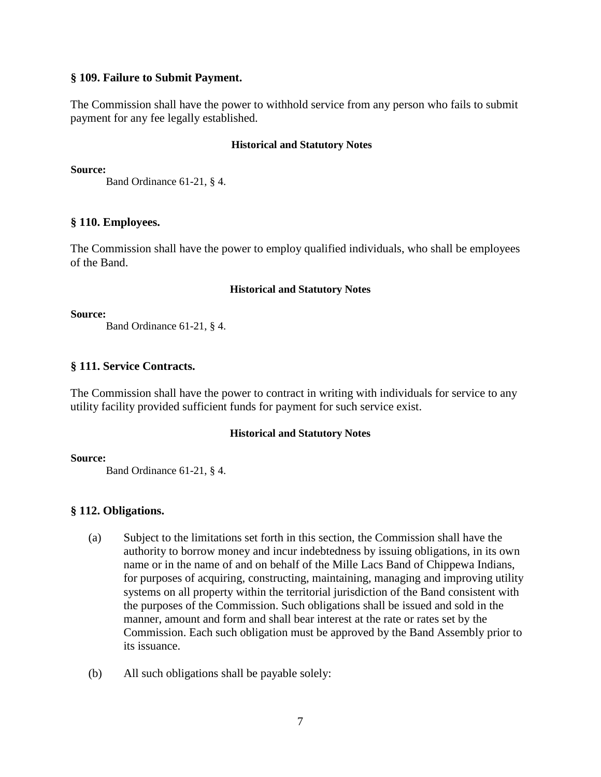# **§ 109. Failure to Submit Payment.**

The Commission shall have the power to withhold service from any person who fails to submit payment for any fee legally established.

# **Historical and Statutory Notes**

**Source:**

Band Ordinance 61-21, § 4.

# **§ 110. Employees.**

The Commission shall have the power to employ qualified individuals, who shall be employees of the Band.

# **Historical and Statutory Notes**

# **Source:**

Band Ordinance 61-21, § 4.

# **§ 111. Service Contracts.**

The Commission shall have the power to contract in writing with individuals for service to any utility facility provided sufficient funds for payment for such service exist.

# **Historical and Statutory Notes**

# **Source:**

Band Ordinance 61-21, § 4.

# **§ 112. Obligations.**

- (a) Subject to the limitations set forth in this section, the Commission shall have the authority to borrow money and incur indebtedness by issuing obligations, in its own name or in the name of and on behalf of the Mille Lacs Band of Chippewa Indians, for purposes of acquiring, constructing, maintaining, managing and improving utility systems on all property within the territorial jurisdiction of the Band consistent with the purposes of the Commission. Such obligations shall be issued and sold in the manner, amount and form and shall bear interest at the rate or rates set by the Commission. Each such obligation must be approved by the Band Assembly prior to its issuance.
- (b) All such obligations shall be payable solely: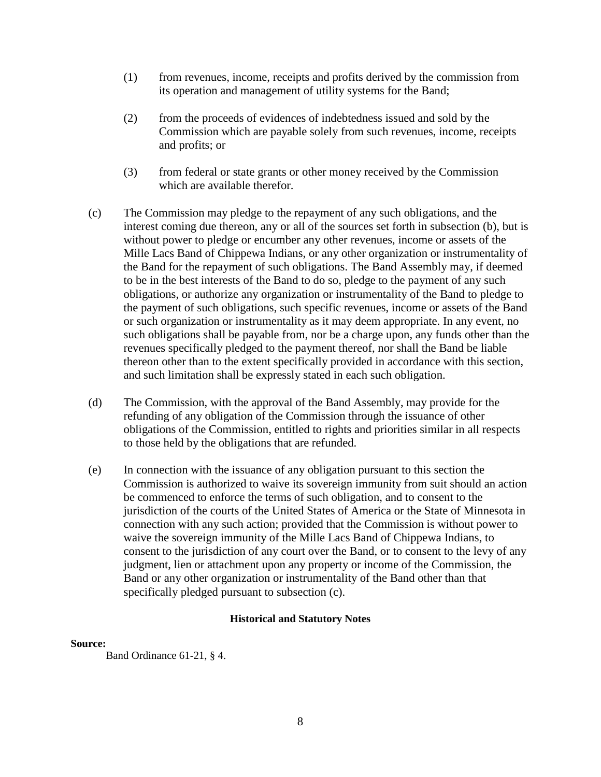- (1) from revenues, income, receipts and profits derived by the commission from its operation and management of utility systems for the Band;
- (2) from the proceeds of evidences of indebtedness issued and sold by the Commission which are payable solely from such revenues, income, receipts and profits; or
- (3) from federal or state grants or other money received by the Commission which are available therefor.
- (c) The Commission may pledge to the repayment of any such obligations, and the interest coming due thereon, any or all of the sources set forth in subsection (b), but is without power to pledge or encumber any other revenues, income or assets of the Mille Lacs Band of Chippewa Indians, or any other organization or instrumentality of the Band for the repayment of such obligations. The Band Assembly may, if deemed to be in the best interests of the Band to do so, pledge to the payment of any such obligations, or authorize any organization or instrumentality of the Band to pledge to the payment of such obligations, such specific revenues, income or assets of the Band or such organization or instrumentality as it may deem appropriate. In any event, no such obligations shall be payable from, nor be a charge upon, any funds other than the revenues specifically pledged to the payment thereof, nor shall the Band be liable thereon other than to the extent specifically provided in accordance with this section, and such limitation shall be expressly stated in each such obligation.
- (d) The Commission, with the approval of the Band Assembly, may provide for the refunding of any obligation of the Commission through the issuance of other obligations of the Commission, entitled to rights and priorities similar in all respects to those held by the obligations that are refunded.
- (e) In connection with the issuance of any obligation pursuant to this section the Commission is authorized to waive its sovereign immunity from suit should an action be commenced to enforce the terms of such obligation, and to consent to the jurisdiction of the courts of the United States of America or the State of Minnesota in connection with any such action; provided that the Commission is without power to waive the sovereign immunity of the Mille Lacs Band of Chippewa Indians, to consent to the jurisdiction of any court over the Band, or to consent to the levy of any judgment, lien or attachment upon any property or income of the Commission, the Band or any other organization or instrumentality of the Band other than that specifically pledged pursuant to subsection (c).

#### **Source:**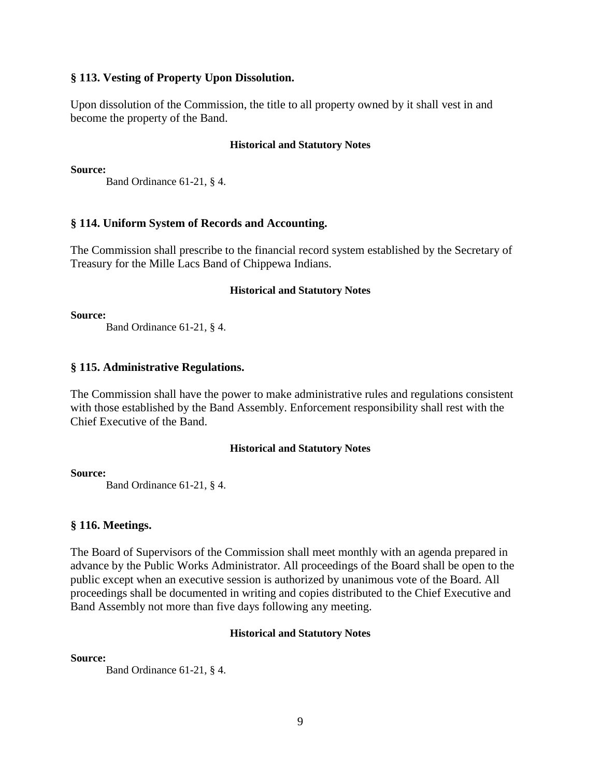# **§ 113. Vesting of Property Upon Dissolution.**

Upon dissolution of the Commission, the title to all property owned by it shall vest in and become the property of the Band.

#### **Historical and Statutory Notes**

**Source:**

Band Ordinance 61-21, § 4.

# **§ 114. Uniform System of Records and Accounting.**

The Commission shall prescribe to the financial record system established by the Secretary of Treasury for the Mille Lacs Band of Chippewa Indians.

#### **Historical and Statutory Notes**

**Source:**

Band Ordinance 61-21, § 4.

# **§ 115. Administrative Regulations.**

The Commission shall have the power to make administrative rules and regulations consistent with those established by the Band Assembly. Enforcement responsibility shall rest with the Chief Executive of the Band.

# **Historical and Statutory Notes**

#### **Source:**

Band Ordinance 61-21, § 4.

# **§ 116. Meetings.**

The Board of Supervisors of the Commission shall meet monthly with an agenda prepared in advance by the Public Works Administrator. All proceedings of the Board shall be open to the public except when an executive session is authorized by unanimous vote of the Board. All proceedings shall be documented in writing and copies distributed to the Chief Executive and Band Assembly not more than five days following any meeting.

# **Historical and Statutory Notes**

**Source:**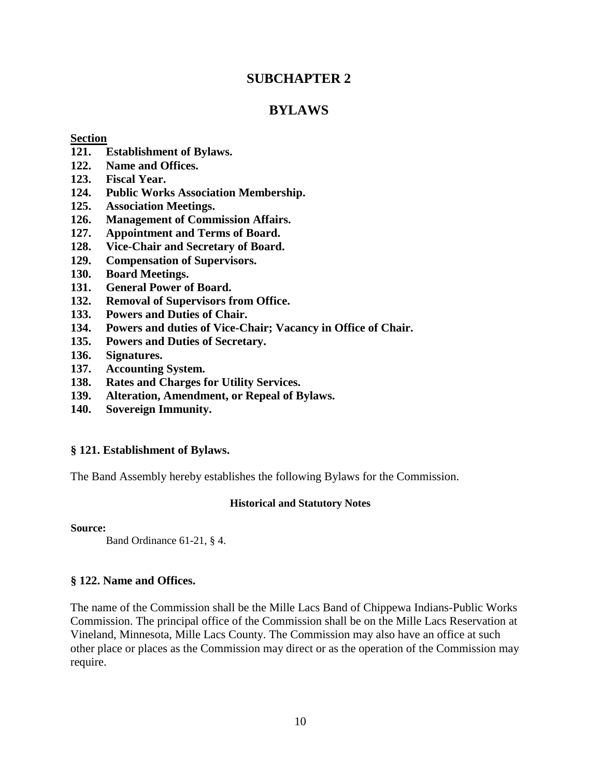# **SUBCHAPTER 2**

# **BYLAWS**

# **Section**

- **121. Establishment of Bylaws.**
- **122. Name and Offices.**
- **123. Fiscal Year.**
- **124. Public Works Association Membership.**
- **125. Association Meetings.**
- **126. Management of Commission Affairs.**
- **127. Appointment and Terms of Board.**
- **128. Vice-Chair and Secretary of Board.**
- **129. Compensation of Supervisors.**
- **130. Board Meetings.**
- **131. General Power of Board.**
- **132. Removal of Supervisors from Office.**
- **133. Powers and Duties of Chair.**
- **134. Powers and duties of Vice-Chair; Vacancy in Office of Chair.**
- **135. Powers and Duties of Secretary.**
- **136. Signatures.**
- **137. Accounting System.**
- **138. Rates and Charges for Utility Services.**
- **139. Alteration, Amendment, or Repeal of Bylaws.**
- **140. Sovereign Immunity.**

# **§ 121. Establishment of Bylaws.**

The Band Assembly hereby establishes the following Bylaws for the Commission.

# **Historical and Statutory Notes**

**Source:**

Band Ordinance 61-21, § 4.

# **§ 122. Name and Offices.**

The name of the Commission shall be the Mille Lacs Band of Chippewa Indians-Public Works Commission. The principal office of the Commission shall be on the Mille Lacs Reservation at Vineland, Minnesota, Mille Lacs County. The Commission may also have an office at such other place or places as the Commission may direct or as the operation of the Commission may require.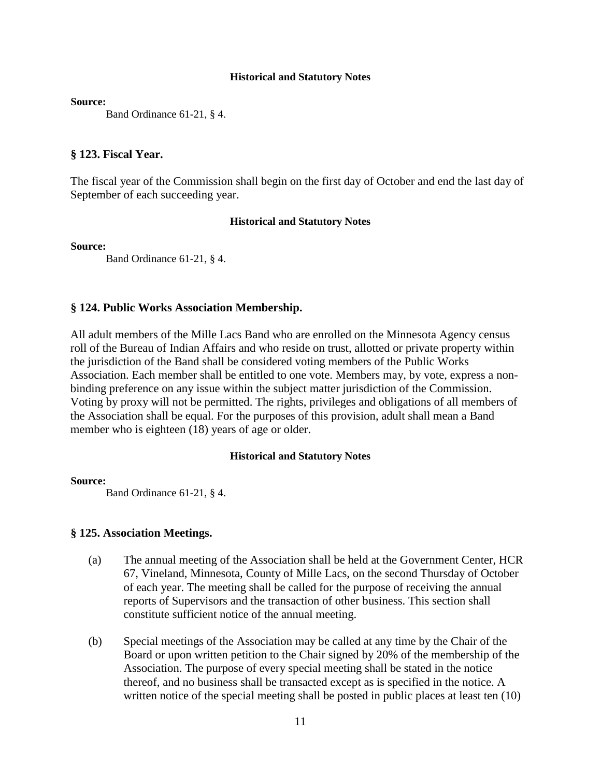**Source:**

Band Ordinance 61-21, § 4.

# **§ 123. Fiscal Year.**

The fiscal year of the Commission shall begin on the first day of October and end the last day of September of each succeeding year.

#### **Historical and Statutory Notes**

**Source:**

Band Ordinance 61-21, § 4.

# **§ 124. Public Works Association Membership.**

All adult members of the Mille Lacs Band who are enrolled on the Minnesota Agency census roll of the Bureau of Indian Affairs and who reside on trust, allotted or private property within the jurisdiction of the Band shall be considered voting members of the Public Works Association. Each member shall be entitled to one vote. Members may, by vote, express a nonbinding preference on any issue within the subject matter jurisdiction of the Commission. Voting by proxy will not be permitted. The rights, privileges and obligations of all members of the Association shall be equal. For the purposes of this provision, adult shall mean a Band member who is eighteen (18) years of age or older.

#### **Historical and Statutory Notes**

#### **Source:**

Band Ordinance 61-21, § 4.

# **§ 125. Association Meetings.**

- (a) The annual meeting of the Association shall be held at the Government Center, HCR 67, Vineland, Minnesota, County of Mille Lacs, on the second Thursday of October of each year. The meeting shall be called for the purpose of receiving the annual reports of Supervisors and the transaction of other business. This section shall constitute sufficient notice of the annual meeting.
- (b) Special meetings of the Association may be called at any time by the Chair of the Board or upon written petition to the Chair signed by 20% of the membership of the Association. The purpose of every special meeting shall be stated in the notice thereof, and no business shall be transacted except as is specified in the notice. A written notice of the special meeting shall be posted in public places at least ten  $(10)$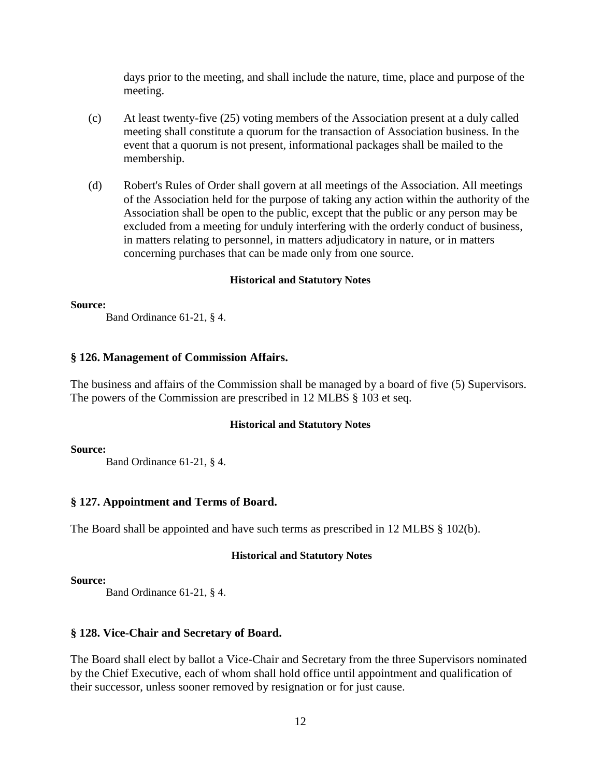days prior to the meeting, and shall include the nature, time, place and purpose of the meeting.

- (c) At least twenty-five (25) voting members of the Association present at a duly called meeting shall constitute a quorum for the transaction of Association business. In the event that a quorum is not present, informational packages shall be mailed to the membership.
- (d) Robert's Rules of Order shall govern at all meetings of the Association. All meetings of the Association held for the purpose of taking any action within the authority of the Association shall be open to the public, except that the public or any person may be excluded from a meeting for unduly interfering with the orderly conduct of business, in matters relating to personnel, in matters adjudicatory in nature, or in matters concerning purchases that can be made only from one source.

# **Historical and Statutory Notes**

#### **Source:**

Band Ordinance 61-21, § 4.

# **§ 126. Management of Commission Affairs.**

The business and affairs of the Commission shall be managed by a board of five (5) Supervisors. The powers of the Commission are prescribed in 12 MLBS § 103 et seq.

# **Historical and Statutory Notes**

# **Source:**

Band Ordinance 61-21, § 4.

# **§ 127. Appointment and Terms of Board.**

The Board shall be appointed and have such terms as prescribed in 12 MLBS § 102(b).

# **Historical and Statutory Notes**

# **Source:**

Band Ordinance 61-21, § 4.

# **§ 128. Vice-Chair and Secretary of Board.**

The Board shall elect by ballot a Vice-Chair and Secretary from the three Supervisors nominated by the Chief Executive, each of whom shall hold office until appointment and qualification of their successor, unless sooner removed by resignation or for just cause.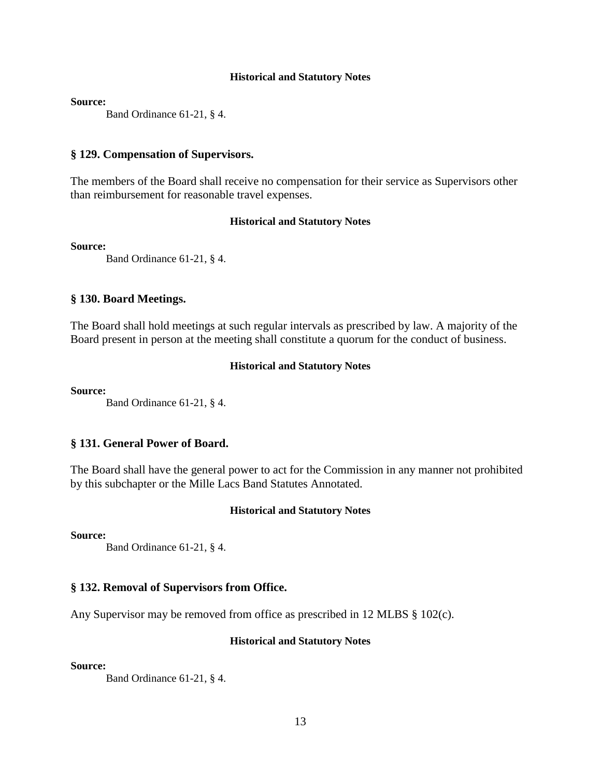**Source:**

Band Ordinance 61-21, § 4.

#### **§ 129. Compensation of Supervisors.**

The members of the Board shall receive no compensation for their service as Supervisors other than reimbursement for reasonable travel expenses.

## **Historical and Statutory Notes**

**Source:**

Band Ordinance 61-21, § 4.

# **§ 130. Board Meetings.**

The Board shall hold meetings at such regular intervals as prescribed by law. A majority of the Board present in person at the meeting shall constitute a quorum for the conduct of business.

#### **Historical and Statutory Notes**

**Source:**

Band Ordinance 61-21, § 4.

#### **§ 131. General Power of Board.**

The Board shall have the general power to act for the Commission in any manner not prohibited by this subchapter or the Mille Lacs Band Statutes Annotated.

#### **Historical and Statutory Notes**

**Source:**

Band Ordinance 61-21, § 4.

## **§ 132. Removal of Supervisors from Office.**

Any Supervisor may be removed from office as prescribed in 12 MLBS § 102(c).

#### **Historical and Statutory Notes**

#### **Source:**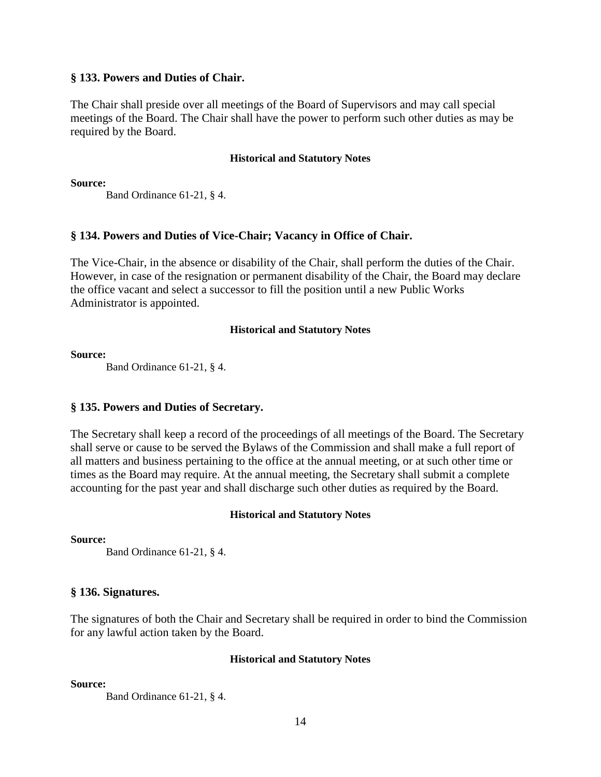# **§ 133. Powers and Duties of Chair.**

The Chair shall preside over all meetings of the Board of Supervisors and may call special meetings of the Board. The Chair shall have the power to perform such other duties as may be required by the Board.

# **Historical and Statutory Notes**

**Source:**

Band Ordinance 61-21, § 4.

# **§ 134. Powers and Duties of Vice-Chair; Vacancy in Office of Chair.**

The Vice-Chair, in the absence or disability of the Chair, shall perform the duties of the Chair. However, in case of the resignation or permanent disability of the Chair, the Board may declare the office vacant and select a successor to fill the position until a new Public Works Administrator is appointed.

# **Historical and Statutory Notes**

**Source:**

Band Ordinance 61-21, § 4.

# **§ 135. Powers and Duties of Secretary.**

The Secretary shall keep a record of the proceedings of all meetings of the Board. The Secretary shall serve or cause to be served the Bylaws of the Commission and shall make a full report of all matters and business pertaining to the office at the annual meeting, or at such other time or times as the Board may require. At the annual meeting, the Secretary shall submit a complete accounting for the past year and shall discharge such other duties as required by the Board.

# **Historical and Statutory Notes**

**Source:**

Band Ordinance 61-21, § 4.

# **§ 136. Signatures.**

The signatures of both the Chair and Secretary shall be required in order to bind the Commission for any lawful action taken by the Board.

# **Historical and Statutory Notes**

**Source:**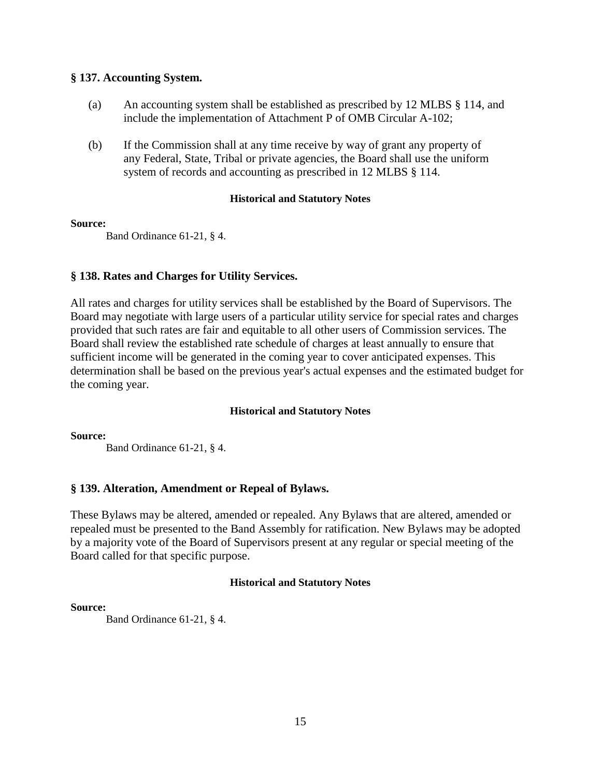# **§ 137. Accounting System.**

- (a) An accounting system shall be established as prescribed by 12 MLBS § 114, and include the implementation of Attachment P of OMB Circular A-102;
- (b) If the Commission shall at any time receive by way of grant any property of any Federal, State, Tribal or private agencies, the Board shall use the uniform system of records and accounting as prescribed in 12 MLBS § 114.

#### **Historical and Statutory Notes**

# **Source:**

Band Ordinance 61-21, § 4.

# **§ 138. Rates and Charges for Utility Services.**

All rates and charges for utility services shall be established by the Board of Supervisors. The Board may negotiate with large users of a particular utility service for special rates and charges provided that such rates are fair and equitable to all other users of Commission services. The Board shall review the established rate schedule of charges at least annually to ensure that sufficient income will be generated in the coming year to cover anticipated expenses. This determination shall be based on the previous year's actual expenses and the estimated budget for the coming year.

# **Historical and Statutory Notes**

**Source:**

Band Ordinance 61-21, § 4.

# **§ 139. Alteration, Amendment or Repeal of Bylaws.**

These Bylaws may be altered, amended or repealed. Any Bylaws that are altered, amended or repealed must be presented to the Band Assembly for ratification. New Bylaws may be adopted by a majority vote of the Board of Supervisors present at any regular or special meeting of the Board called for that specific purpose.

# **Historical and Statutory Notes**

# **Source:**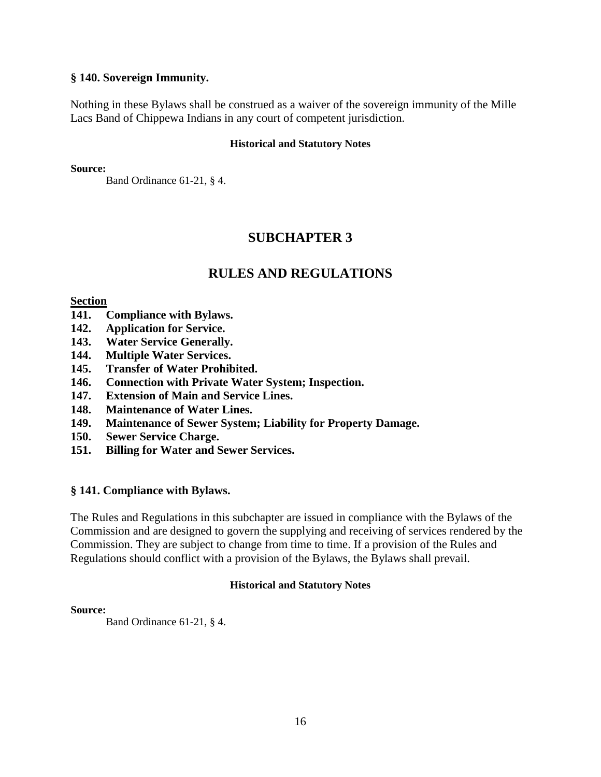# **§ 140. Sovereign Immunity.**

Nothing in these Bylaws shall be construed as a waiver of the sovereign immunity of the Mille Lacs Band of Chippewa Indians in any court of competent jurisdiction.

# **Historical and Statutory Notes**

**Source:**

Band Ordinance 61-21, § 4.

# **SUBCHAPTER 3**

# **RULES AND REGULATIONS**

# **Section**

- **141. Compliance with Bylaws.**
- **142. Application for Service.**
- **143. Water Service Generally.**
- **144. Multiple Water Services.**
- **145. Transfer of Water Prohibited.**
- **146. Connection with Private Water System; Inspection.**
- **147. Extension of Main and Service Lines.**
- **148. Maintenance of Water Lines.**
- **149. Maintenance of Sewer System; Liability for Property Damage.**
- **150. Sewer Service Charge.**
- **151. Billing for Water and Sewer Services.**

# **§ 141. Compliance with Bylaws.**

The Rules and Regulations in this subchapter are issued in compliance with the Bylaws of the Commission and are designed to govern the supplying and receiving of services rendered by the Commission. They are subject to change from time to time. If a provision of the Rules and Regulations should conflict with a provision of the Bylaws, the Bylaws shall prevail.

# **Historical and Statutory Notes**

# **Source:**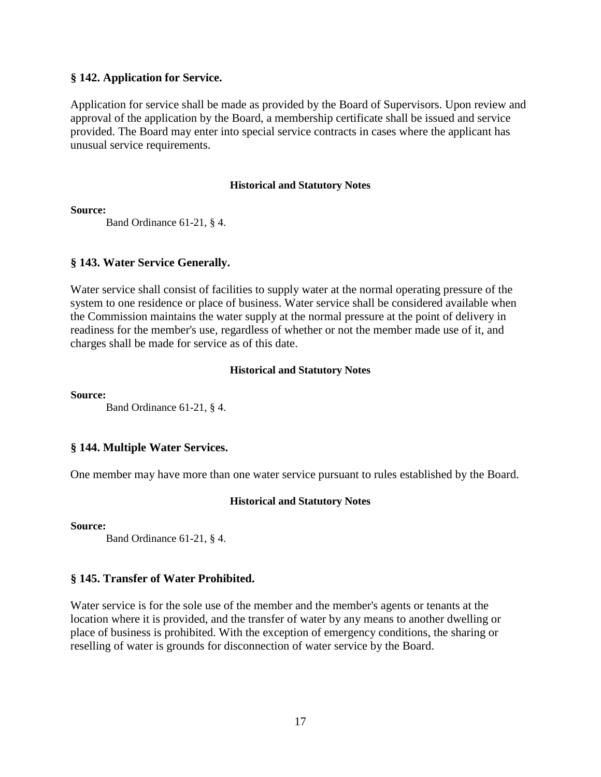# **§ 142. Application for Service.**

Application for service shall be made as provided by the Board of Supervisors. Upon review and approval of the application by the Board, a membership certificate shall be issued and service provided. The Board may enter into special service contracts in cases where the applicant has unusual service requirements.

# **Historical and Statutory Notes**

**Source:**

Band Ordinance 61-21, § 4.

# **§ 143. Water Service Generally.**

Water service shall consist of facilities to supply water at the normal operating pressure of the system to one residence or place of business. Water service shall be considered available when the Commission maintains the water supply at the normal pressure at the point of delivery in readiness for the member's use, regardless of whether or not the member made use of it, and charges shall be made for service as of this date.

# **Historical and Statutory Notes**

**Source:**

Band Ordinance 61-21, § 4.

# **§ 144. Multiple Water Services.**

One member may have more than one water service pursuant to rules established by the Board.

# **Historical and Statutory Notes**

**Source:**

Band Ordinance 61-21, § 4.

# **§ 145. Transfer of Water Prohibited.**

Water service is for the sole use of the member and the member's agents or tenants at the location where it is provided, and the transfer of water by any means to another dwelling or place of business is prohibited. With the exception of emergency conditions, the sharing or reselling of water is grounds for disconnection of water service by the Board.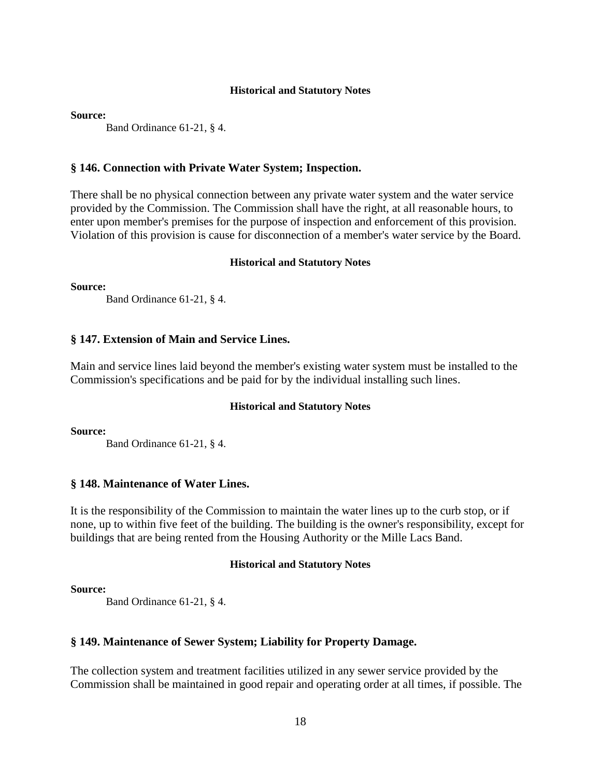**Source:**

Band Ordinance 61-21, § 4.

# **§ 146. Connection with Private Water System; Inspection.**

There shall be no physical connection between any private water system and the water service provided by the Commission. The Commission shall have the right, at all reasonable hours, to enter upon member's premises for the purpose of inspection and enforcement of this provision. Violation of this provision is cause for disconnection of a member's water service by the Board.

#### **Historical and Statutory Notes**

**Source:**

Band Ordinance 61-21, § 4.

# **§ 147. Extension of Main and Service Lines.**

Main and service lines laid beyond the member's existing water system must be installed to the Commission's specifications and be paid for by the individual installing such lines.

#### **Historical and Statutory Notes**

**Source:**

Band Ordinance 61-21, § 4.

# **§ 148. Maintenance of Water Lines.**

It is the responsibility of the Commission to maintain the water lines up to the curb stop, or if none, up to within five feet of the building. The building is the owner's responsibility, except for buildings that are being rented from the Housing Authority or the Mille Lacs Band.

# **Historical and Statutory Notes**

**Source:**

Band Ordinance 61-21, § 4.

# **§ 149. Maintenance of Sewer System; Liability for Property Damage.**

The collection system and treatment facilities utilized in any sewer service provided by the Commission shall be maintained in good repair and operating order at all times, if possible. The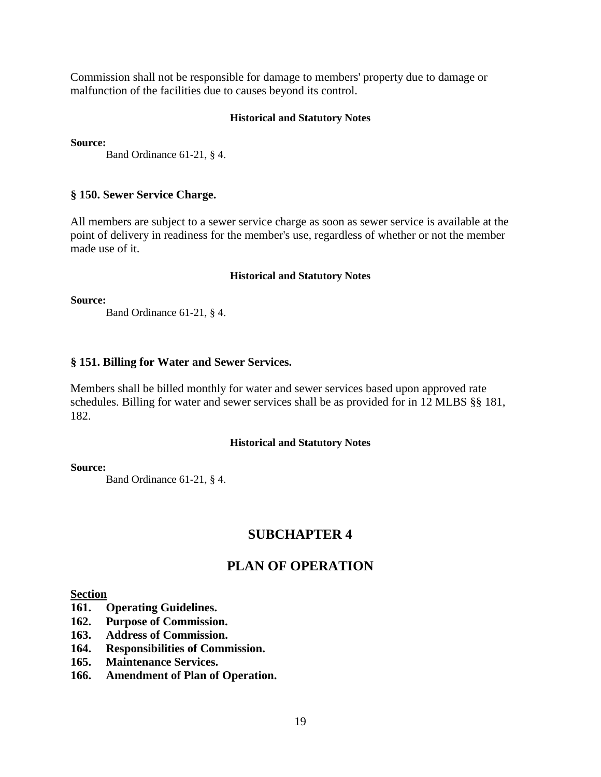Commission shall not be responsible for damage to members' property due to damage or malfunction of the facilities due to causes beyond its control.

# **Historical and Statutory Notes**

**Source:**

Band Ordinance 61-21, § 4.

# **§ 150. Sewer Service Charge.**

All members are subject to a sewer service charge as soon as sewer service is available at the point of delivery in readiness for the member's use, regardless of whether or not the member made use of it.

# **Historical and Statutory Notes**

**Source:**

Band Ordinance 61-21, § 4.

# **§ 151. Billing for Water and Sewer Services.**

Members shall be billed monthly for water and sewer services based upon approved rate schedules. Billing for water and sewer services shall be as provided for in 12 MLBS §§ 181, 182.

# **Historical and Statutory Notes**

**Source:**

Band Ordinance 61-21, § 4.

# **SUBCHAPTER 4**

# **PLAN OF OPERATION**

# **Section**

- **161. Operating Guidelines.**
- **162. Purpose of Commission.**
- **163. Address of Commission.**
- **164. Responsibilities of Commission.**
- **165. Maintenance Services.**
- **166. Amendment of Plan of Operation.**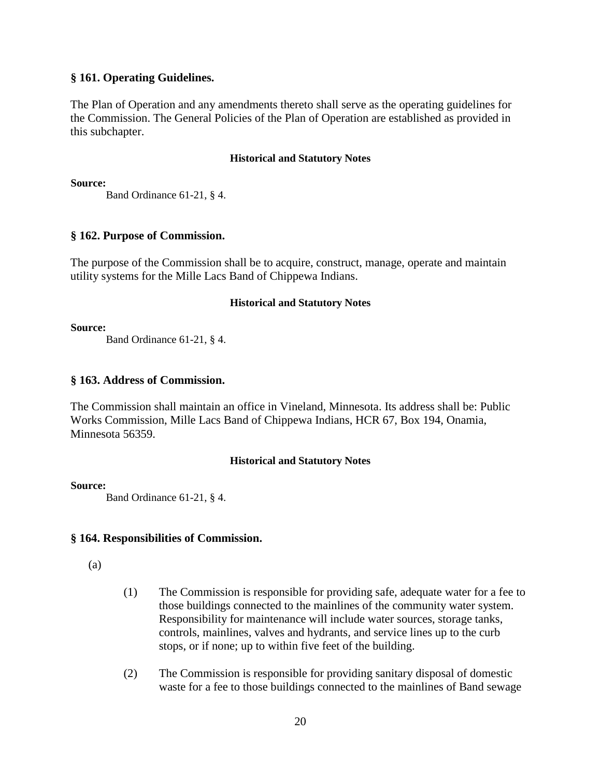# **§ 161. Operating Guidelines.**

The Plan of Operation and any amendments thereto shall serve as the operating guidelines for the Commission. The General Policies of the Plan of Operation are established as provided in this subchapter.

#### **Historical and Statutory Notes**

**Source:**

Band Ordinance 61-21, § 4.

# **§ 162. Purpose of Commission.**

The purpose of the Commission shall be to acquire, construct, manage, operate and maintain utility systems for the Mille Lacs Band of Chippewa Indians.

# **Historical and Statutory Notes**

#### **Source:**

Band Ordinance 61-21, § 4.

# **§ 163. Address of Commission.**

The Commission shall maintain an office in Vineland, Minnesota. Its address shall be: Public Works Commission, Mille Lacs Band of Chippewa Indians, HCR 67, Box 194, Onamia, Minnesota 56359.

# **Historical and Statutory Notes**

# **Source:**

Band Ordinance 61-21, § 4.

# **§ 164. Responsibilities of Commission.**

(a)

- (1) The Commission is responsible for providing safe, adequate water for a fee to those buildings connected to the mainlines of the community water system. Responsibility for maintenance will include water sources, storage tanks, controls, mainlines, valves and hydrants, and service lines up to the curb stops, or if none; up to within five feet of the building.
- (2) The Commission is responsible for providing sanitary disposal of domestic waste for a fee to those buildings connected to the mainlines of Band sewage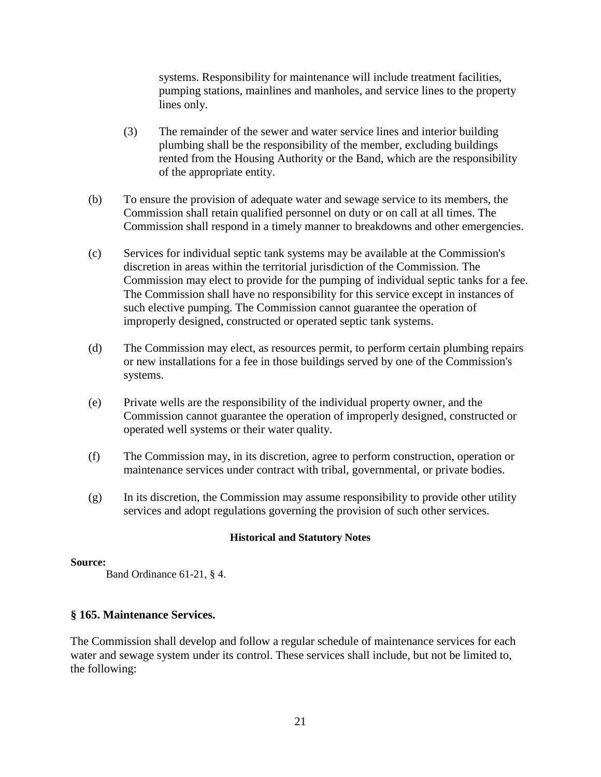systems. Responsibility for maintenance will include treatment facilities, pumping stations, mainlines and manholes, and service lines to the property lines only.

- (3) The remainder of the sewer and water service lines and interior building plumbing shall be the responsibility of the member, excluding buildings rented from the Housing Authority or the Band, which are the responsibility of the appropriate entity.
- (b) To ensure the provision of adequate water and sewage service to its members, the Commission shall retain qualified personnel on duty or on call at all times. The Commission shall respond in a timely manner to breakdowns and other emergencies.
- (c) Services for individual septic tank systems may be available at the Commission's discretion in areas within the territorial jurisdiction of the Commission. The Commission may elect to provide for the pumping of individual septic tanks for a fee. The Commission shall have no responsibility for this service except in instances of such elective pumping. The Commission cannot guarantee the operation of improperly designed, constructed or operated septic tank systems.
- (d) The Commission may elect, as resources permit, to perform certain plumbing repairs or new installations for a fee in those buildings served by one of the Commission's systems.
- (e) Private wells are the responsibility of the individual property owner, and the Commission cannot guarantee the operation of improperly designed, constructed or operated well systems or their water quality.
- (f) The Commission may, in its discretion, agree to perform construction, operation or maintenance services under contract with tribal, governmental, or private bodies.
- (g) In its discretion, the Commission may assume responsibility to provide other utility services and adopt regulations governing the provision of such other services.

# **Historical and Statutory Notes**

# **Source:**

Band Ordinance 61-21, § 4.

# **§ 165. Maintenance Services.**

The Commission shall develop and follow a regular schedule of maintenance services for each water and sewage system under its control. These services shall include, but not be limited to, the following: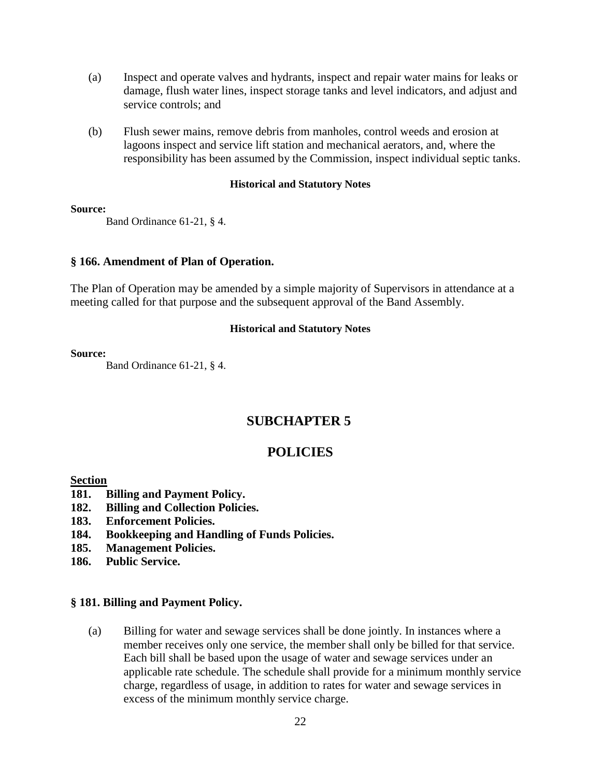- (a) Inspect and operate valves and hydrants, inspect and repair water mains for leaks or damage, flush water lines, inspect storage tanks and level indicators, and adjust and service controls; and
- (b) Flush sewer mains, remove debris from manholes, control weeds and erosion at lagoons inspect and service lift station and mechanical aerators, and, where the responsibility has been assumed by the Commission, inspect individual septic tanks.

#### **Source:**

Band Ordinance 61-21, § 4.

# **§ 166. Amendment of Plan of Operation.**

The Plan of Operation may be amended by a simple majority of Supervisors in attendance at a meeting called for that purpose and the subsequent approval of the Band Assembly.

# **Historical and Statutory Notes**

# **Source:**

Band Ordinance 61-21, § 4.

# **SUBCHAPTER 5**

# **POLICIES**

# **Section**

- **181. Billing and Payment Policy.**
- **182. Billing and Collection Policies.**
- **183. Enforcement Policies.**
- **184. Bookkeeping and Handling of Funds Policies.**
- **185. Management Policies.**
- **186. Public Service.**

# **§ 181. Billing and Payment Policy.**

(a) Billing for water and sewage services shall be done jointly. In instances where a member receives only one service, the member shall only be billed for that service. Each bill shall be based upon the usage of water and sewage services under an applicable rate schedule. The schedule shall provide for a minimum monthly service charge, regardless of usage, in addition to rates for water and sewage services in excess of the minimum monthly service charge.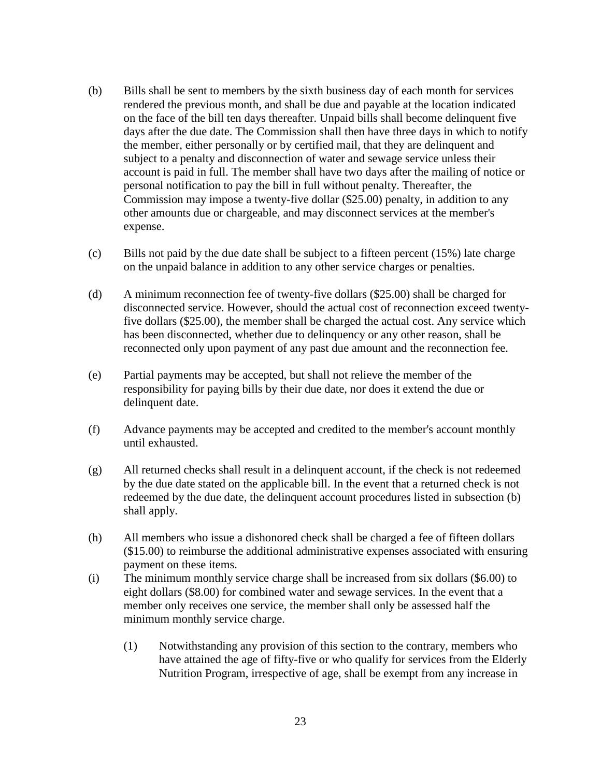- (b) Bills shall be sent to members by the sixth business day of each month for services rendered the previous month, and shall be due and payable at the location indicated on the face of the bill ten days thereafter. Unpaid bills shall become delinquent five days after the due date. The Commission shall then have three days in which to notify the member, either personally or by certified mail, that they are delinquent and subject to a penalty and disconnection of water and sewage service unless their account is paid in full. The member shall have two days after the mailing of notice or personal notification to pay the bill in full without penalty. Thereafter, the Commission may impose a twenty-five dollar (\$25.00) penalty, in addition to any other amounts due or chargeable, and may disconnect services at the member's expense.
- (c) Bills not paid by the due date shall be subject to a fifteen percent (15%) late charge on the unpaid balance in addition to any other service charges or penalties.
- (d) A minimum reconnection fee of twenty-five dollars (\$25.00) shall be charged for disconnected service. However, should the actual cost of reconnection exceed twentyfive dollars (\$25.00), the member shall be charged the actual cost. Any service which has been disconnected, whether due to delinquency or any other reason, shall be reconnected only upon payment of any past due amount and the reconnection fee.
- (e) Partial payments may be accepted, but shall not relieve the member of the responsibility for paying bills by their due date, nor does it extend the due or delinquent date.
- (f) Advance payments may be accepted and credited to the member's account monthly until exhausted.
- (g) All returned checks shall result in a delinquent account, if the check is not redeemed by the due date stated on the applicable bill. In the event that a returned check is not redeemed by the due date, the delinquent account procedures listed in subsection (b) shall apply.
- (h) All members who issue a dishonored check shall be charged a fee of fifteen dollars (\$15.00) to reimburse the additional administrative expenses associated with ensuring payment on these items.
- (i) The minimum monthly service charge shall be increased from six dollars (\$6.00) to eight dollars (\$8.00) for combined water and sewage services. In the event that a member only receives one service, the member shall only be assessed half the minimum monthly service charge.
	- (1) Notwithstanding any provision of this section to the contrary, members who have attained the age of fifty-five or who qualify for services from the Elderly Nutrition Program, irrespective of age, shall be exempt from any increase in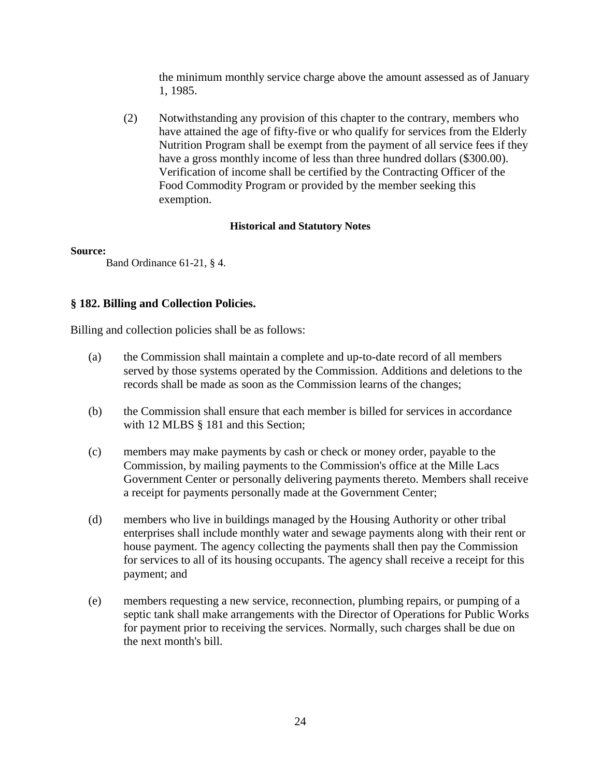the minimum monthly service charge above the amount assessed as of January 1, 1985.

(2) Notwithstanding any provision of this chapter to the contrary, members who have attained the age of fifty-five or who qualify for services from the Elderly Nutrition Program shall be exempt from the payment of all service fees if they have a gross monthly income of less than three hundred dollars (\$300.00). Verification of income shall be certified by the Contracting Officer of the Food Commodity Program or provided by the member seeking this exemption.

# **Historical and Statutory Notes**

# **Source:**

Band Ordinance 61-21, § 4.

# **§ 182. Billing and Collection Policies.**

Billing and collection policies shall be as follows:

- (a) the Commission shall maintain a complete and up-to-date record of all members served by those systems operated by the Commission. Additions and deletions to the records shall be made as soon as the Commission learns of the changes;
- (b) the Commission shall ensure that each member is billed for services in accordance with 12 MLBS § 181 and this Section;
- (c) members may make payments by cash or check or money order, payable to the Commission, by mailing payments to the Commission's office at the Mille Lacs Government Center or personally delivering payments thereto. Members shall receive a receipt for payments personally made at the Government Center;
- (d) members who live in buildings managed by the Housing Authority or other tribal enterprises shall include monthly water and sewage payments along with their rent or house payment. The agency collecting the payments shall then pay the Commission for services to all of its housing occupants. The agency shall receive a receipt for this payment; and
- (e) members requesting a new service, reconnection, plumbing repairs, or pumping of a septic tank shall make arrangements with the Director of Operations for Public Works for payment prior to receiving the services. Normally, such charges shall be due on the next month's bill.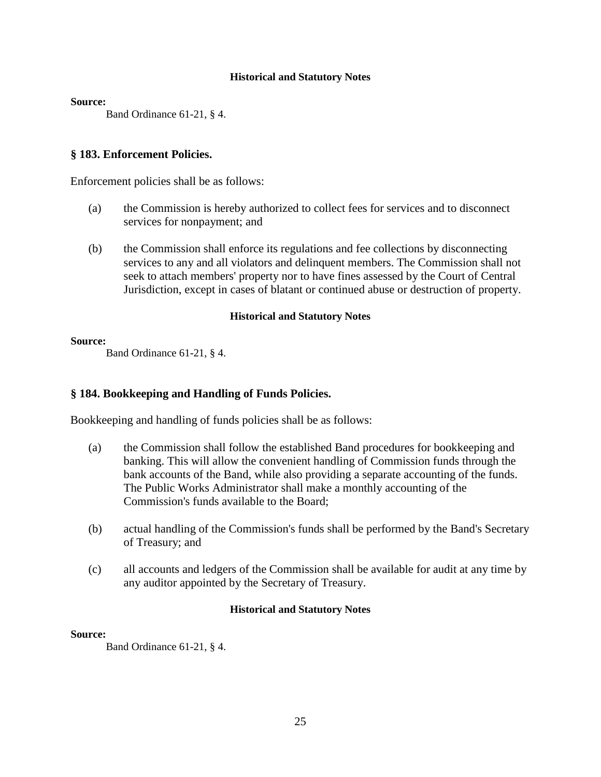**Source:**

Band Ordinance 61-21, § 4.

# **§ 183. Enforcement Policies.**

Enforcement policies shall be as follows:

- (a) the Commission is hereby authorized to collect fees for services and to disconnect services for nonpayment; and
- (b) the Commission shall enforce its regulations and fee collections by disconnecting services to any and all violators and delinquent members. The Commission shall not seek to attach members' property nor to have fines assessed by the Court of Central Jurisdiction, except in cases of blatant or continued abuse or destruction of property.

# **Historical and Statutory Notes**

**Source:**

Band Ordinance 61-21, § 4.

# **§ 184. Bookkeeping and Handling of Funds Policies.**

Bookkeeping and handling of funds policies shall be as follows:

- (a) the Commission shall follow the established Band procedures for bookkeeping and banking. This will allow the convenient handling of Commission funds through the bank accounts of the Band, while also providing a separate accounting of the funds. The Public Works Administrator shall make a monthly accounting of the Commission's funds available to the Board;
- (b) actual handling of the Commission's funds shall be performed by the Band's Secretary of Treasury; and
- (c) all accounts and ledgers of the Commission shall be available for audit at any time by any auditor appointed by the Secretary of Treasury.

# **Historical and Statutory Notes**

# **Source:**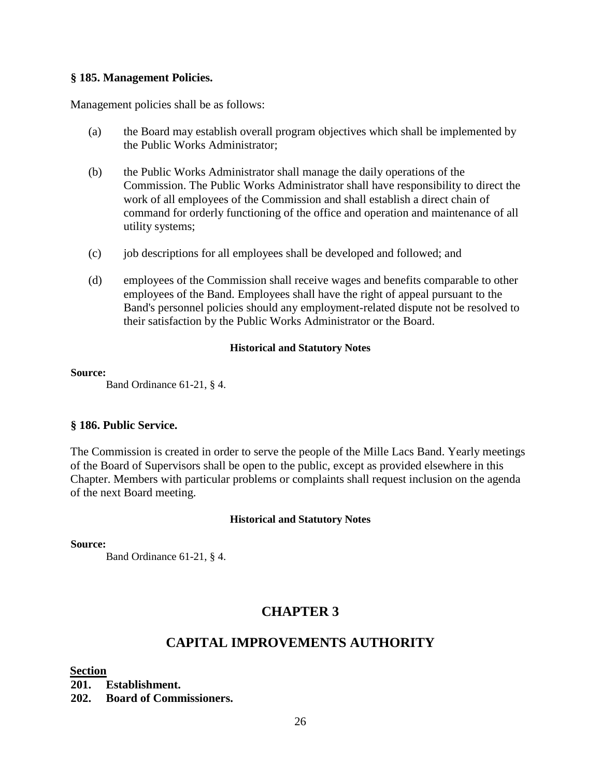# **§ 185. Management Policies.**

Management policies shall be as follows:

- (a) the Board may establish overall program objectives which shall be implemented by the Public Works Administrator;
- (b) the Public Works Administrator shall manage the daily operations of the Commission. The Public Works Administrator shall have responsibility to direct the work of all employees of the Commission and shall establish a direct chain of command for orderly functioning of the office and operation and maintenance of all utility systems;
- (c) job descriptions for all employees shall be developed and followed; and
- (d) employees of the Commission shall receive wages and benefits comparable to other employees of the Band. Employees shall have the right of appeal pursuant to the Band's personnel policies should any employment-related dispute not be resolved to their satisfaction by the Public Works Administrator or the Board.

# **Historical and Statutory Notes**

# **Source:**

Band Ordinance 61-21, § 4.

# **§ 186. Public Service.**

The Commission is created in order to serve the people of the Mille Lacs Band. Yearly meetings of the Board of Supervisors shall be open to the public, except as provided elsewhere in this Chapter. Members with particular problems or complaints shall request inclusion on the agenda of the next Board meeting.

# **Historical and Statutory Notes**

# **Source:**

Band Ordinance 61-21, § 4.

# **CHAPTER 3**

# **CAPITAL IMPROVEMENTS AUTHORITY**

# **Section**

**201. Establishment. 202. Board of Commissioners.**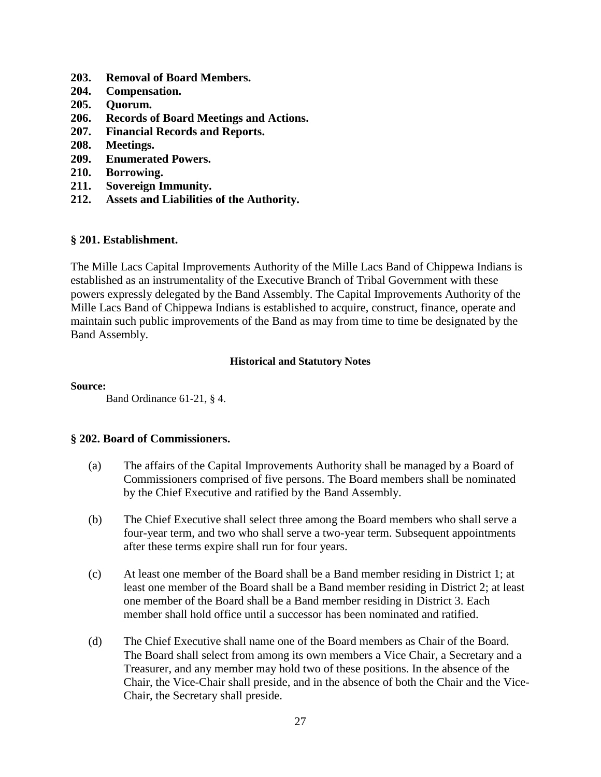- **203. Removal of Board Members.**
- **204. Compensation.**
- **205. Quorum.**
- **206. Records of Board Meetings and Actions.**
- **207. Financial Records and Reports.**
- **208. Meetings.**
- **209. Enumerated Powers.**
- **210. Borrowing.**
- **211. Sovereign Immunity.**
- **212. Assets and Liabilities of the Authority.**

# **§ 201. Establishment.**

The Mille Lacs Capital Improvements Authority of the Mille Lacs Band of Chippewa Indians is established as an instrumentality of the Executive Branch of Tribal Government with these powers expressly delegated by the Band Assembly. The Capital Improvements Authority of the Mille Lacs Band of Chippewa Indians is established to acquire, construct, finance, operate and maintain such public improvements of the Band as may from time to time be designated by the Band Assembly.

# **Historical and Statutory Notes**

#### **Source:**

Band Ordinance 61-21, § 4.

# **§ 202. Board of Commissioners.**

- (a) The affairs of the Capital Improvements Authority shall be managed by a Board of Commissioners comprised of five persons. The Board members shall be nominated by the Chief Executive and ratified by the Band Assembly.
- (b) The Chief Executive shall select three among the Board members who shall serve a four-year term, and two who shall serve a two-year term. Subsequent appointments after these terms expire shall run for four years.
- (c) At least one member of the Board shall be a Band member residing in District 1; at least one member of the Board shall be a Band member residing in District 2; at least one member of the Board shall be a Band member residing in District 3. Each member shall hold office until a successor has been nominated and ratified.
- (d) The Chief Executive shall name one of the Board members as Chair of the Board. The Board shall select from among its own members a Vice Chair, a Secretary and a Treasurer, and any member may hold two of these positions. In the absence of the Chair, the Vice-Chair shall preside, and in the absence of both the Chair and the Vice-Chair, the Secretary shall preside.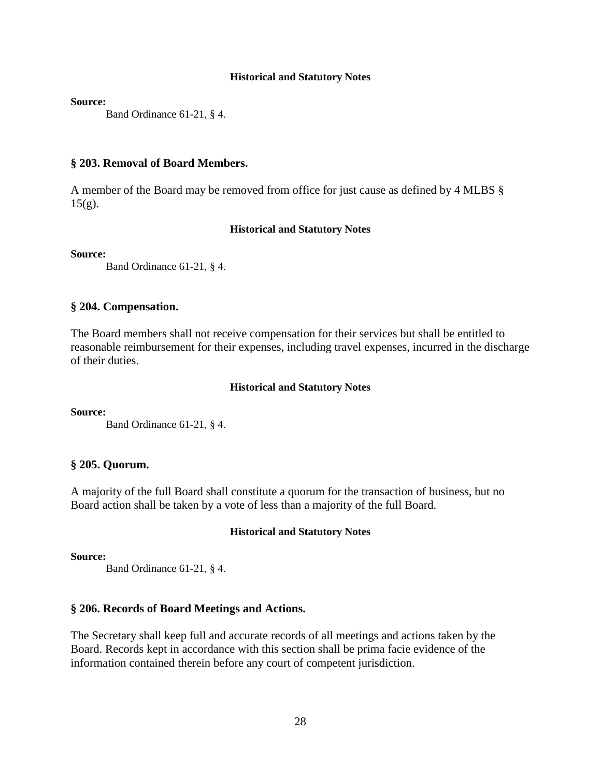**Source:**

Band Ordinance 61-21, § 4.

#### **§ 203. Removal of Board Members.**

A member of the Board may be removed from office for just cause as defined by 4 MLBS §  $15(g)$ .

#### **Historical and Statutory Notes**

#### **Source:**

Band Ordinance 61-21, § 4.

## **§ 204. Compensation.**

The Board members shall not receive compensation for their services but shall be entitled to reasonable reimbursement for their expenses, including travel expenses, incurred in the discharge of their duties.

#### **Historical and Statutory Notes**

**Source:**

Band Ordinance 61-21, § 4.

## **§ 205. Quorum.**

A majority of the full Board shall constitute a quorum for the transaction of business, but no Board action shall be taken by a vote of less than a majority of the full Board.

#### **Historical and Statutory Notes**

#### **Source:**

Band Ordinance 61-21, § 4.

## **§ 206. Records of Board Meetings and Actions.**

The Secretary shall keep full and accurate records of all meetings and actions taken by the Board. Records kept in accordance with this section shall be prima facie evidence of the information contained therein before any court of competent jurisdiction.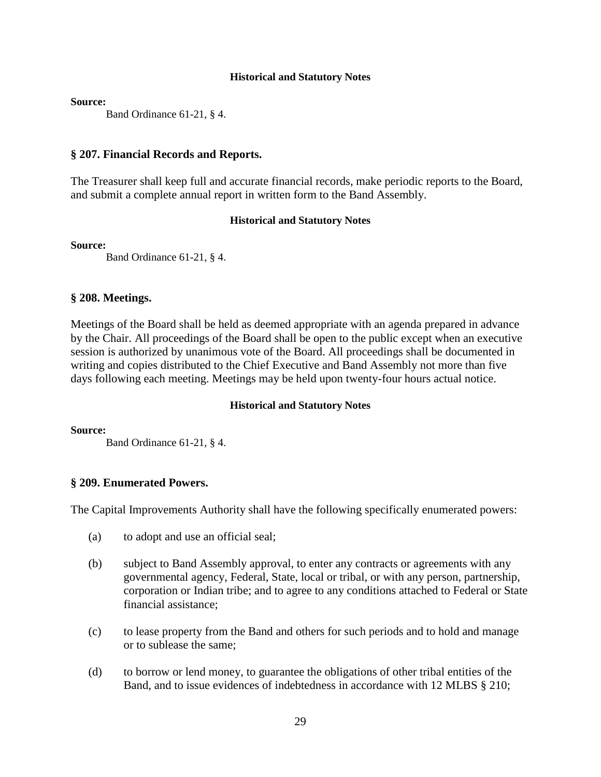**Source:**

Band Ordinance 61-21, § 4.

# **§ 207. Financial Records and Reports.**

The Treasurer shall keep full and accurate financial records, make periodic reports to the Board, and submit a complete annual report in written form to the Band Assembly.

# **Historical and Statutory Notes**

**Source:**

Band Ordinance 61-21, § 4.

# **§ 208. Meetings.**

Meetings of the Board shall be held as deemed appropriate with an agenda prepared in advance by the Chair. All proceedings of the Board shall be open to the public except when an executive session is authorized by unanimous vote of the Board. All proceedings shall be documented in writing and copies distributed to the Chief Executive and Band Assembly not more than five days following each meeting. Meetings may be held upon twenty-four hours actual notice.

# **Historical and Statutory Notes**

**Source:**

Band Ordinance 61-21, § 4.

# **§ 209. Enumerated Powers.**

The Capital Improvements Authority shall have the following specifically enumerated powers:

- (a) to adopt and use an official seal;
- (b) subject to Band Assembly approval, to enter any contracts or agreements with any governmental agency, Federal, State, local or tribal, or with any person, partnership, corporation or Indian tribe; and to agree to any conditions attached to Federal or State financial assistance;
- (c) to lease property from the Band and others for such periods and to hold and manage or to sublease the same;
- (d) to borrow or lend money, to guarantee the obligations of other tribal entities of the Band, and to issue evidences of indebtedness in accordance with 12 MLBS § 210;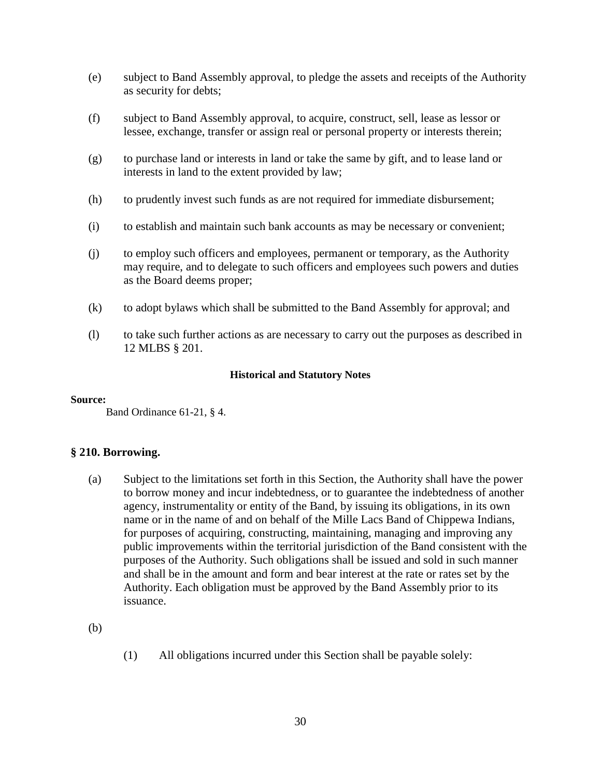- (e) subject to Band Assembly approval, to pledge the assets and receipts of the Authority as security for debts;
- (f) subject to Band Assembly approval, to acquire, construct, sell, lease as lessor or lessee, exchange, transfer or assign real or personal property or interests therein;
- (g) to purchase land or interests in land or take the same by gift, and to lease land or interests in land to the extent provided by law;
- (h) to prudently invest such funds as are not required for immediate disbursement;
- (i) to establish and maintain such bank accounts as may be necessary or convenient;
- (j) to employ such officers and employees, permanent or temporary, as the Authority may require, and to delegate to such officers and employees such powers and duties as the Board deems proper;
- (k) to adopt bylaws which shall be submitted to the Band Assembly for approval; and
- (l) to take such further actions as are necessary to carry out the purposes as described in 12 MLBS § 201.

#### **Source:**

Band Ordinance 61-21, § 4.

# **§ 210. Borrowing.**

(a) Subject to the limitations set forth in this Section, the Authority shall have the power to borrow money and incur indebtedness, or to guarantee the indebtedness of another agency, instrumentality or entity of the Band, by issuing its obligations, in its own name or in the name of and on behalf of the Mille Lacs Band of Chippewa Indians, for purposes of acquiring, constructing, maintaining, managing and improving any public improvements within the territorial jurisdiction of the Band consistent with the purposes of the Authority. Such obligations shall be issued and sold in such manner and shall be in the amount and form and bear interest at the rate or rates set by the Authority. Each obligation must be approved by the Band Assembly prior to its issuance.

(b)

(1) All obligations incurred under this Section shall be payable solely: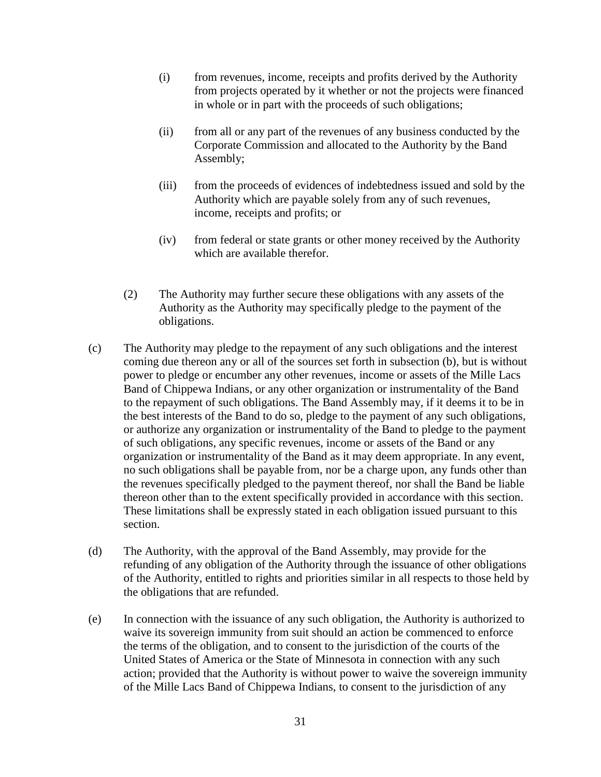- (i) from revenues, income, receipts and profits derived by the Authority from projects operated by it whether or not the projects were financed in whole or in part with the proceeds of such obligations;
- (ii) from all or any part of the revenues of any business conducted by the Corporate Commission and allocated to the Authority by the Band Assembly;
- (iii) from the proceeds of evidences of indebtedness issued and sold by the Authority which are payable solely from any of such revenues, income, receipts and profits; or
- (iv) from federal or state grants or other money received by the Authority which are available therefor.
- (2) The Authority may further secure these obligations with any assets of the Authority as the Authority may specifically pledge to the payment of the obligations.
- (c) The Authority may pledge to the repayment of any such obligations and the interest coming due thereon any or all of the sources set forth in subsection (b), but is without power to pledge or encumber any other revenues, income or assets of the Mille Lacs Band of Chippewa Indians, or any other organization or instrumentality of the Band to the repayment of such obligations. The Band Assembly may, if it deems it to be in the best interests of the Band to do so, pledge to the payment of any such obligations, or authorize any organization or instrumentality of the Band to pledge to the payment of such obligations, any specific revenues, income or assets of the Band or any organization or instrumentality of the Band as it may deem appropriate. In any event, no such obligations shall be payable from, nor be a charge upon, any funds other than the revenues specifically pledged to the payment thereof, nor shall the Band be liable thereon other than to the extent specifically provided in accordance with this section. These limitations shall be expressly stated in each obligation issued pursuant to this section.
- (d) The Authority, with the approval of the Band Assembly, may provide for the refunding of any obligation of the Authority through the issuance of other obligations of the Authority, entitled to rights and priorities similar in all respects to those held by the obligations that are refunded.
- (e) In connection with the issuance of any such obligation, the Authority is authorized to waive its sovereign immunity from suit should an action be commenced to enforce the terms of the obligation, and to consent to the jurisdiction of the courts of the United States of America or the State of Minnesota in connection with any such action; provided that the Authority is without power to waive the sovereign immunity of the Mille Lacs Band of Chippewa Indians, to consent to the jurisdiction of any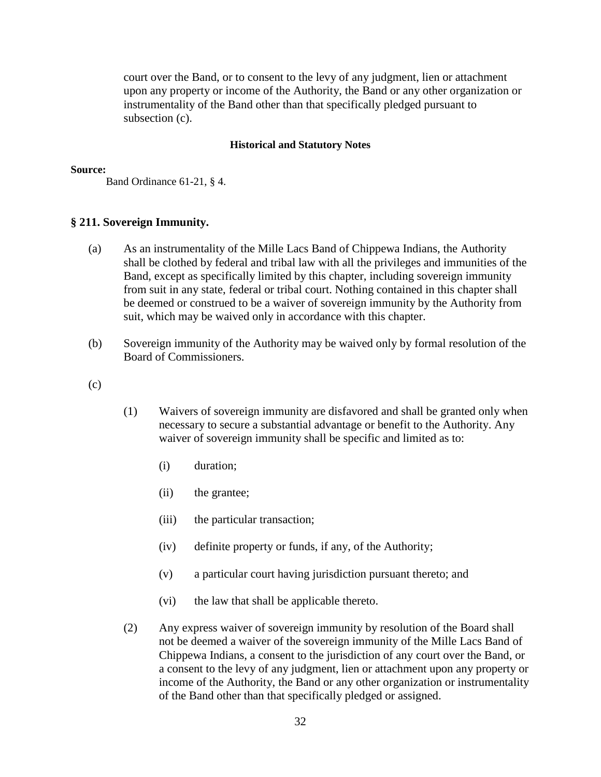court over the Band, or to consent to the levy of any judgment, lien or attachment upon any property or income of the Authority, the Band or any other organization or instrumentality of the Band other than that specifically pledged pursuant to subsection (c).

#### **Historical and Statutory Notes**

#### **Source:**

Band Ordinance 61-21, § 4.

# **§ 211. Sovereign Immunity.**

- (a) As an instrumentality of the Mille Lacs Band of Chippewa Indians, the Authority shall be clothed by federal and tribal law with all the privileges and immunities of the Band, except as specifically limited by this chapter, including sovereign immunity from suit in any state, federal or tribal court. Nothing contained in this chapter shall be deemed or construed to be a waiver of sovereign immunity by the Authority from suit, which may be waived only in accordance with this chapter.
- (b) Sovereign immunity of the Authority may be waived only by formal resolution of the Board of Commissioners.
- $(c)$
- (1) Waivers of sovereign immunity are disfavored and shall be granted only when necessary to secure a substantial advantage or benefit to the Authority. Any waiver of sovereign immunity shall be specific and limited as to:
	- (i) duration;
	- (ii) the grantee;
	- (iii) the particular transaction;
	- (iv) definite property or funds, if any, of the Authority;
	- (v) a particular court having jurisdiction pursuant thereto; and
	- (vi) the law that shall be applicable thereto.
- (2) Any express waiver of sovereign immunity by resolution of the Board shall not be deemed a waiver of the sovereign immunity of the Mille Lacs Band of Chippewa Indians, a consent to the jurisdiction of any court over the Band, or a consent to the levy of any judgment, lien or attachment upon any property or income of the Authority, the Band or any other organization or instrumentality of the Band other than that specifically pledged or assigned.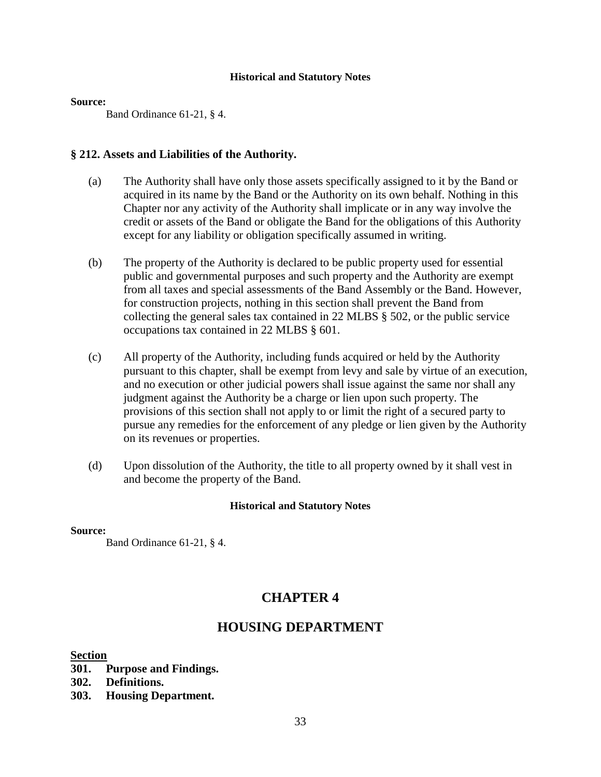#### **Source:**

Band Ordinance 61-21, § 4.

# **§ 212. Assets and Liabilities of the Authority.**

- (a) The Authority shall have only those assets specifically assigned to it by the Band or acquired in its name by the Band or the Authority on its own behalf. Nothing in this Chapter nor any activity of the Authority shall implicate or in any way involve the credit or assets of the Band or obligate the Band for the obligations of this Authority except for any liability or obligation specifically assumed in writing.
- (b) The property of the Authority is declared to be public property used for essential public and governmental purposes and such property and the Authority are exempt from all taxes and special assessments of the Band Assembly or the Band. However, for construction projects, nothing in this section shall prevent the Band from collecting the general sales tax contained in 22 MLBS § 502, or the public service occupations tax contained in 22 MLBS § 601.
- (c) All property of the Authority, including funds acquired or held by the Authority pursuant to this chapter, shall be exempt from levy and sale by virtue of an execution, and no execution or other judicial powers shall issue against the same nor shall any judgment against the Authority be a charge or lien upon such property. The provisions of this section shall not apply to or limit the right of a secured party to pursue any remedies for the enforcement of any pledge or lien given by the Authority on its revenues or properties.
- (d) Upon dissolution of the Authority, the title to all property owned by it shall vest in and become the property of the Band.

# **Historical and Statutory Notes**

**Source:**

Band Ordinance 61-21, § 4.

# **CHAPTER 4**

# **HOUSING DEPARTMENT**

# **Section**

- **301. Purpose and Findings.**
- **302. Definitions.**
- **303. Housing Department.**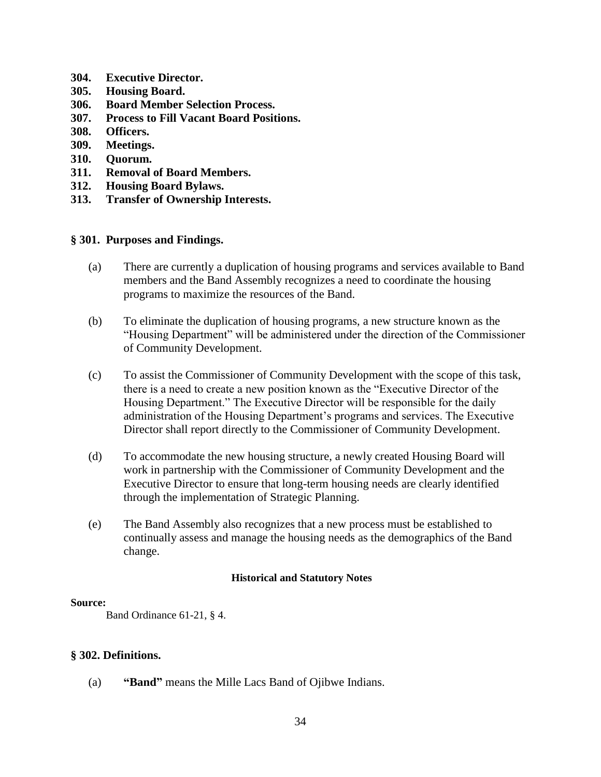- **304. Executive Director.**
- **305. Housing Board.**
- **306. Board Member Selection Process.**
- **307. Process to Fill Vacant Board Positions.**
- **308. Officers.**
- **309. Meetings.**
- **310. Quorum.**
- **311. Removal of Board Members.**
- **312. Housing Board Bylaws.**
- **313. Transfer of Ownership Interests.**

# **§ 301. Purposes and Findings.**

- (a) There are currently a duplication of housing programs and services available to Band members and the Band Assembly recognizes a need to coordinate the housing programs to maximize the resources of the Band.
- (b) To eliminate the duplication of housing programs, a new structure known as the "Housing Department" will be administered under the direction of the Commissioner of Community Development.
- (c) To assist the Commissioner of Community Development with the scope of this task, there is a need to create a new position known as the "Executive Director of the Housing Department." The Executive Director will be responsible for the daily administration of the Housing Department's programs and services. The Executive Director shall report directly to the Commissioner of Community Development.
- (d) To accommodate the new housing structure, a newly created Housing Board will work in partnership with the Commissioner of Community Development and the Executive Director to ensure that long-term housing needs are clearly identified through the implementation of Strategic Planning.
- (e) The Band Assembly also recognizes that a new process must be established to continually assess and manage the housing needs as the demographics of the Band change.

# **Historical and Statutory Notes**

#### **Source:**

Band Ordinance 61-21, § 4.

# **§ 302. Definitions.**

(a) **"Band"** means the Mille Lacs Band of Ojibwe Indians.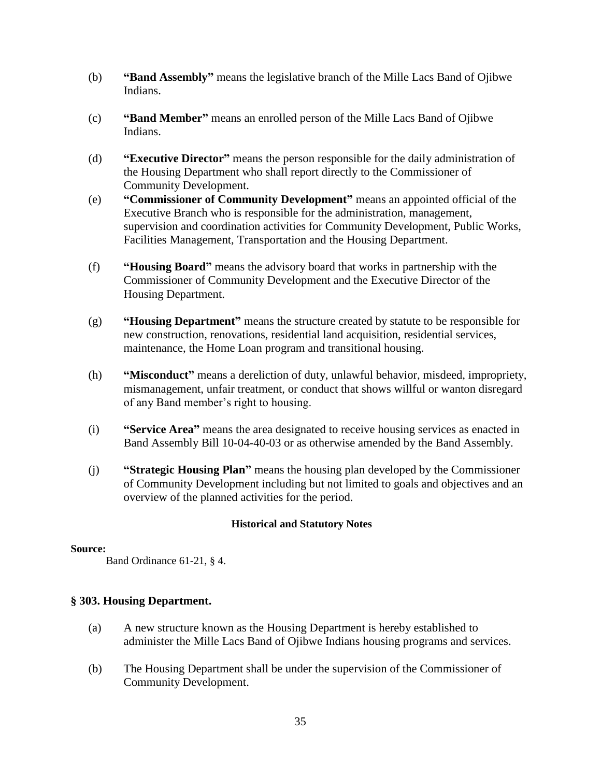- (b) **"Band Assembly"** means the legislative branch of the Mille Lacs Band of Ojibwe Indians.
- (c) **"Band Member"** means an enrolled person of the Mille Lacs Band of Ojibwe Indians.
- (d) **"Executive Director"** means the person responsible for the daily administration of the Housing Department who shall report directly to the Commissioner of Community Development.
- (e) **"Commissioner of Community Development"** means an appointed official of the Executive Branch who is responsible for the administration, management, supervision and coordination activities for Community Development, Public Works, Facilities Management, Transportation and the Housing Department.
- (f) **"Housing Board"** means the advisory board that works in partnership with the Commissioner of Community Development and the Executive Director of the Housing Department.
- (g) **"Housing Department"** means the structure created by statute to be responsible for new construction, renovations, residential land acquisition, residential services, maintenance, the Home Loan program and transitional housing.
- (h) **"Misconduct"** means a dereliction of duty, unlawful behavior, misdeed, impropriety, mismanagement, unfair treatment, or conduct that shows willful or wanton disregard of any Band member's right to housing.
- (i) **"Service Area"** means the area designated to receive housing services as enacted in Band Assembly Bill 10-04-40-03 or as otherwise amended by the Band Assembly.
- (j) **"Strategic Housing Plan"** means the housing plan developed by the Commissioner of Community Development including but not limited to goals and objectives and an overview of the planned activities for the period.

# **Source:**

Band Ordinance 61-21, § 4.

# **§ 303. Housing Department.**

- (a) A new structure known as the Housing Department is hereby established to administer the Mille Lacs Band of Ojibwe Indians housing programs and services.
- (b) The Housing Department shall be under the supervision of the Commissioner of Community Development.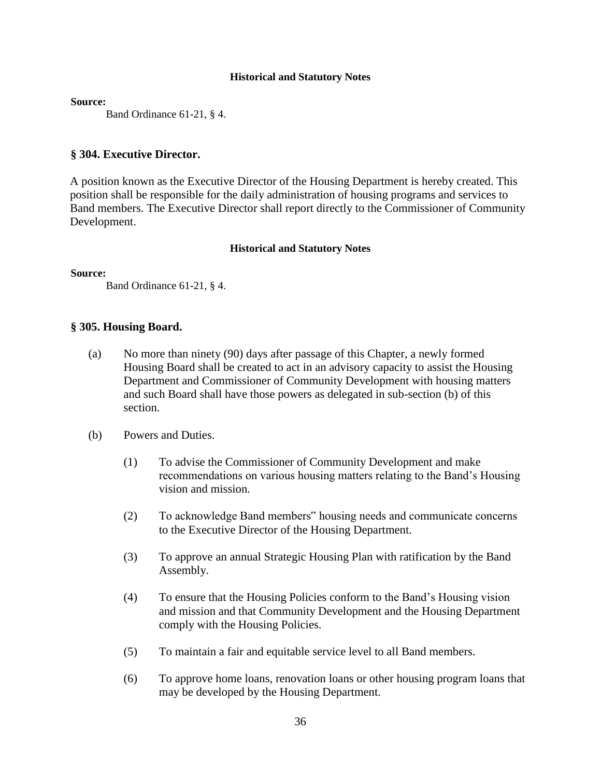**Source:**

Band Ordinance 61-21, § 4.

# **§ 304. Executive Director.**

A position known as the Executive Director of the Housing Department is hereby created. This position shall be responsible for the daily administration of housing programs and services to Band members. The Executive Director shall report directly to the Commissioner of Community Development.

# **Historical and Statutory Notes**

**Source:**

Band Ordinance 61-21, § 4.

# **§ 305. Housing Board.**

- (a) No more than ninety (90) days after passage of this Chapter, a newly formed Housing Board shall be created to act in an advisory capacity to assist the Housing Department and Commissioner of Community Development with housing matters and such Board shall have those powers as delegated in sub-section (b) of this section.
- (b) Powers and Duties.
	- (1) To advise the Commissioner of Community Development and make recommendations on various housing matters relating to the Band's Housing vision and mission.
	- (2) To acknowledge Band members" housing needs and communicate concerns to the Executive Director of the Housing Department.
	- (3) To approve an annual Strategic Housing Plan with ratification by the Band Assembly.
	- (4) To ensure that the Housing Policies conform to the Band's Housing vision and mission and that Community Development and the Housing Department comply with the Housing Policies.
	- (5) To maintain a fair and equitable service level to all Band members.
	- (6) To approve home loans, renovation loans or other housing program loans that may be developed by the Housing Department.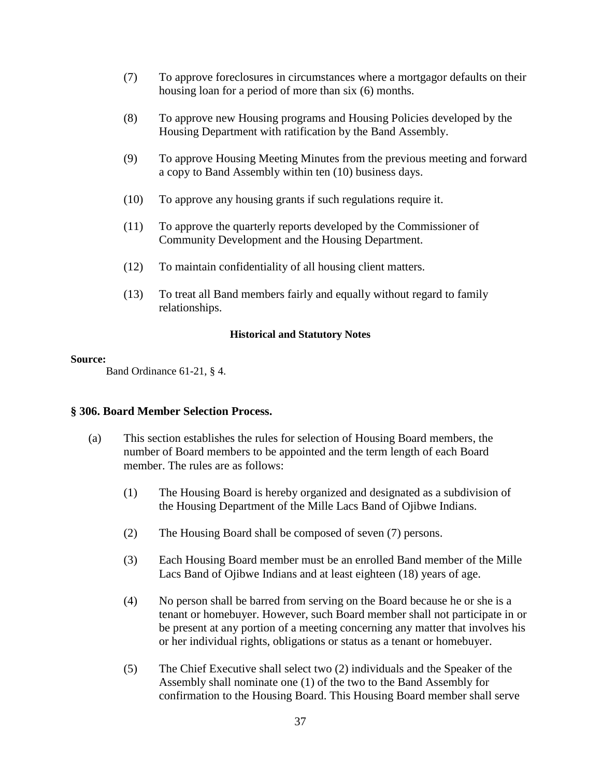- (7) To approve foreclosures in circumstances where a mortgagor defaults on their housing loan for a period of more than six (6) months.
- (8) To approve new Housing programs and Housing Policies developed by the Housing Department with ratification by the Band Assembly.
- (9) To approve Housing Meeting Minutes from the previous meeting and forward a copy to Band Assembly within ten (10) business days.
- (10) To approve any housing grants if such regulations require it.
- (11) To approve the quarterly reports developed by the Commissioner of Community Development and the Housing Department.
- (12) To maintain confidentiality of all housing client matters.
- (13) To treat all Band members fairly and equally without regard to family relationships.

#### **Source:**

Band Ordinance 61-21, § 4.

# **§ 306. Board Member Selection Process.**

- (a) This section establishes the rules for selection of Housing Board members, the number of Board members to be appointed and the term length of each Board member. The rules are as follows:
	- (1) The Housing Board is hereby organized and designated as a subdivision of the Housing Department of the Mille Lacs Band of Ojibwe Indians.
	- (2) The Housing Board shall be composed of seven (7) persons.
	- (3) Each Housing Board member must be an enrolled Band member of the Mille Lacs Band of Ojibwe Indians and at least eighteen (18) years of age.
	- (4) No person shall be barred from serving on the Board because he or she is a tenant or homebuyer. However, such Board member shall not participate in or be present at any portion of a meeting concerning any matter that involves his or her individual rights, obligations or status as a tenant or homebuyer.
	- (5) The Chief Executive shall select two (2) individuals and the Speaker of the Assembly shall nominate one (1) of the two to the Band Assembly for confirmation to the Housing Board. This Housing Board member shall serve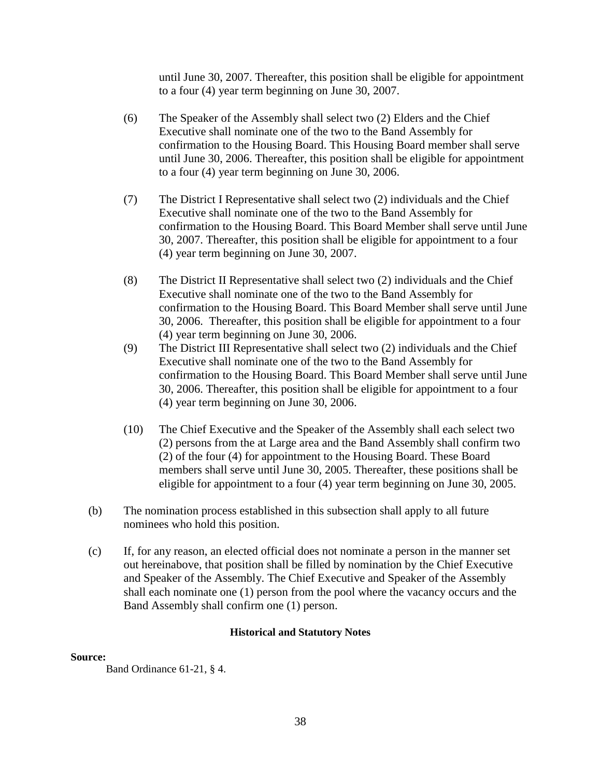until June 30, 2007. Thereafter, this position shall be eligible for appointment to a four (4) year term beginning on June 30, 2007.

- (6) The Speaker of the Assembly shall select two (2) Elders and the Chief Executive shall nominate one of the two to the Band Assembly for confirmation to the Housing Board. This Housing Board member shall serve until June 30, 2006. Thereafter, this position shall be eligible for appointment to a four (4) year term beginning on June 30, 2006.
- (7) The District I Representative shall select two (2) individuals and the Chief Executive shall nominate one of the two to the Band Assembly for confirmation to the Housing Board. This Board Member shall serve until June 30, 2007. Thereafter, this position shall be eligible for appointment to a four (4) year term beginning on June 30, 2007.
- (8) The District II Representative shall select two (2) individuals and the Chief Executive shall nominate one of the two to the Band Assembly for confirmation to the Housing Board. This Board Member shall serve until June 30, 2006. Thereafter, this position shall be eligible for appointment to a four (4) year term beginning on June 30, 2006.
- (9) The District III Representative shall select two (2) individuals and the Chief Executive shall nominate one of the two to the Band Assembly for confirmation to the Housing Board. This Board Member shall serve until June 30, 2006. Thereafter, this position shall be eligible for appointment to a four (4) year term beginning on June 30, 2006.
- (10) The Chief Executive and the Speaker of the Assembly shall each select two (2) persons from the at Large area and the Band Assembly shall confirm two (2) of the four (4) for appointment to the Housing Board. These Board members shall serve until June 30, 2005. Thereafter, these positions shall be eligible for appointment to a four (4) year term beginning on June 30, 2005.
- (b) The nomination process established in this subsection shall apply to all future nominees who hold this position.
- (c) If, for any reason, an elected official does not nominate a person in the manner set out hereinabove, that position shall be filled by nomination by the Chief Executive and Speaker of the Assembly. The Chief Executive and Speaker of the Assembly shall each nominate one (1) person from the pool where the vacancy occurs and the Band Assembly shall confirm one (1) person.

# **Historical and Statutory Notes**

# **Source:**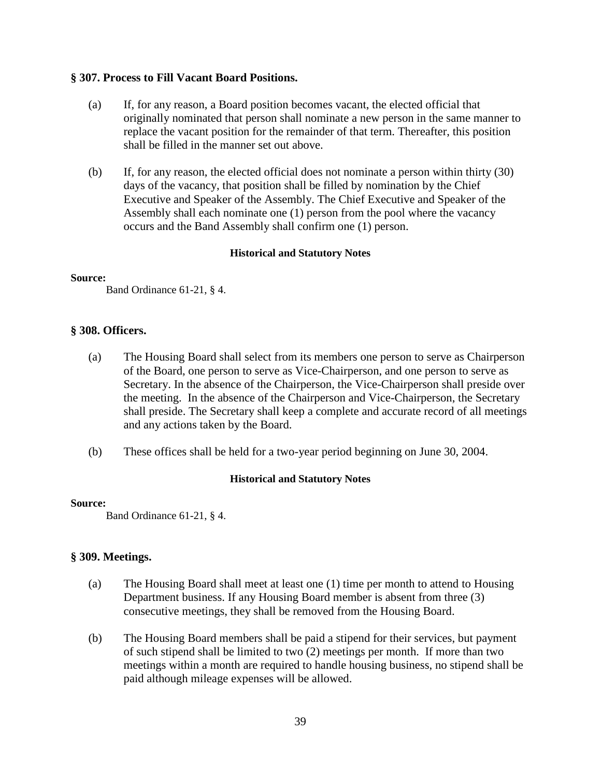# **§ 307. Process to Fill Vacant Board Positions.**

- (a) If, for any reason, a Board position becomes vacant, the elected official that originally nominated that person shall nominate a new person in the same manner to replace the vacant position for the remainder of that term. Thereafter, this position shall be filled in the manner set out above.
- (b) If, for any reason, the elected official does not nominate a person within thirty (30) days of the vacancy, that position shall be filled by nomination by the Chief Executive and Speaker of the Assembly. The Chief Executive and Speaker of the Assembly shall each nominate one (1) person from the pool where the vacancy occurs and the Band Assembly shall confirm one (1) person.

# **Historical and Statutory Notes**

# **Source:**

Band Ordinance 61-21, § 4.

# **§ 308. Officers.**

- (a) The Housing Board shall select from its members one person to serve as Chairperson of the Board, one person to serve as Vice-Chairperson, and one person to serve as Secretary. In the absence of the Chairperson, the Vice-Chairperson shall preside over the meeting. In the absence of the Chairperson and Vice-Chairperson, the Secretary shall preside. The Secretary shall keep a complete and accurate record of all meetings and any actions taken by the Board.
- (b) These offices shall be held for a two-year period beginning on June 30, 2004.

# **Historical and Statutory Notes**

# **Source:**

Band Ordinance 61-21, § 4.

# **§ 309. Meetings.**

- (a) The Housing Board shall meet at least one (1) time per month to attend to Housing Department business. If any Housing Board member is absent from three (3) consecutive meetings, they shall be removed from the Housing Board.
- (b) The Housing Board members shall be paid a stipend for their services, but payment of such stipend shall be limited to two (2) meetings per month. If more than two meetings within a month are required to handle housing business, no stipend shall be paid although mileage expenses will be allowed.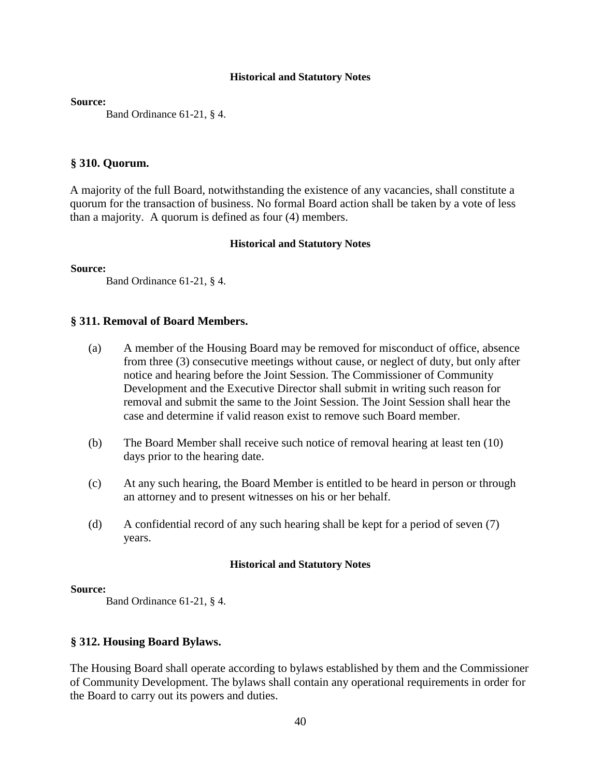**Source:**

Band Ordinance 61-21, § 4.

# **§ 310. Quorum.**

A majority of the full Board, notwithstanding the existence of any vacancies, shall constitute a quorum for the transaction of business. No formal Board action shall be taken by a vote of less than a majority. A quorum is defined as four (4) members.

# **Historical and Statutory Notes**

**Source:**

Band Ordinance 61-21, § 4.

# **§ 311. Removal of Board Members.**

- (a) A member of the Housing Board may be removed for misconduct of office, absence from three (3) consecutive meetings without cause, or neglect of duty, but only after notice and hearing before the Joint Session. The Commissioner of Community Development and the Executive Director shall submit in writing such reason for removal and submit the same to the Joint Session. The Joint Session shall hear the case and determine if valid reason exist to remove such Board member.
- (b) The Board Member shall receive such notice of removal hearing at least ten (10) days prior to the hearing date.
- (c) At any such hearing, the Board Member is entitled to be heard in person or through an attorney and to present witnesses on his or her behalf.
- (d) A confidential record of any such hearing shall be kept for a period of seven (7) years.

# **Historical and Statutory Notes**

#### **Source:**

Band Ordinance 61-21, § 4.

# **§ 312. Housing Board Bylaws.**

The Housing Board shall operate according to bylaws established by them and the Commissioner of Community Development. The bylaws shall contain any operational requirements in order for the Board to carry out its powers and duties.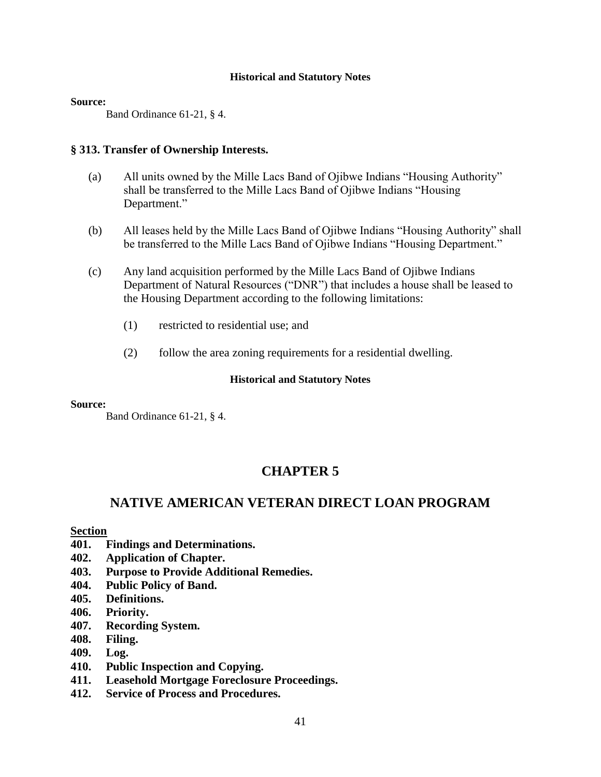#### **Source:**

Band Ordinance 61-21, § 4.

# **§ 313. Transfer of Ownership Interests.**

- (a) All units owned by the Mille Lacs Band of Ojibwe Indians "Housing Authority" shall be transferred to the Mille Lacs Band of Ojibwe Indians "Housing Department."
- (b) All leases held by the Mille Lacs Band of Ojibwe Indians "Housing Authority" shall be transferred to the Mille Lacs Band of Ojibwe Indians "Housing Department."
- (c) Any land acquisition performed by the Mille Lacs Band of Ojibwe Indians Department of Natural Resources ("DNR") that includes a house shall be leased to the Housing Department according to the following limitations:
	- (1) restricted to residential use; and
	- (2) follow the area zoning requirements for a residential dwelling.

#### **Historical and Statutory Notes**

# **Source:**

Band Ordinance 61-21, § 4.

# **CHAPTER 5**

# **NATIVE AMERICAN VETERAN DIRECT LOAN PROGRAM**

**Section** 

- **401. Findings and Determinations.**
- **402. Application of Chapter.**
- **403. Purpose to Provide Additional Remedies.**
- **404. Public Policy of Band.**
- **405. Definitions.**
- **406. Priority.**
- **407. Recording System.**
- **408. Filing.**
- **409. Log.**
- **410. Public Inspection and Copying.**
- **411. Leasehold Mortgage Foreclosure Proceedings.**
- **412. Service of Process and Procedures.**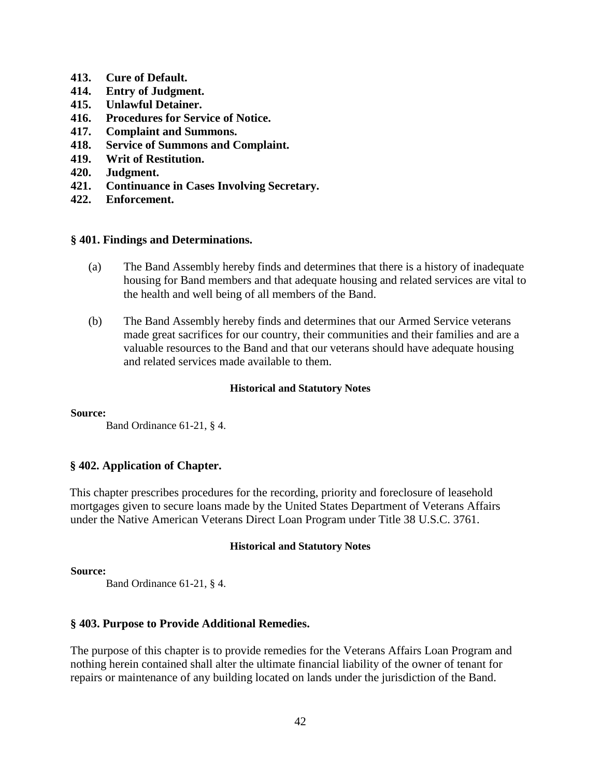- **413. Cure of Default.**
- **414. Entry of Judgment.**
- **415. Unlawful Detainer.**
- **416. Procedures for Service of Notice.**
- **417. Complaint and Summons.**
- **418. Service of Summons and Complaint.**
- **419. Writ of Restitution.**
- **420. Judgment.**
- **421. Continuance in Cases Involving Secretary.**
- **422. Enforcement.**

# **§ 401. Findings and Determinations.**

- (a) The Band Assembly hereby finds and determines that there is a history of inadequate housing for Band members and that adequate housing and related services are vital to the health and well being of all members of the Band.
- (b) The Band Assembly hereby finds and determines that our Armed Service veterans made great sacrifices for our country, their communities and their families and are a valuable resources to the Band and that our veterans should have adequate housing and related services made available to them.

# **Historical and Statutory Notes**

# **Source:**

Band Ordinance 61-21, § 4.

# **§ 402. Application of Chapter.**

This chapter prescribes procedures for the recording, priority and foreclosure of leasehold mortgages given to secure loans made by the United States Department of Veterans Affairs under the Native American Veterans Direct Loan Program under Title 38 U.S.C. 3761.

# **Historical and Statutory Notes**

# **Source:**

Band Ordinance 61-21, § 4.

# **§ 403. Purpose to Provide Additional Remedies.**

The purpose of this chapter is to provide remedies for the Veterans Affairs Loan Program and nothing herein contained shall alter the ultimate financial liability of the owner of tenant for repairs or maintenance of any building located on lands under the jurisdiction of the Band.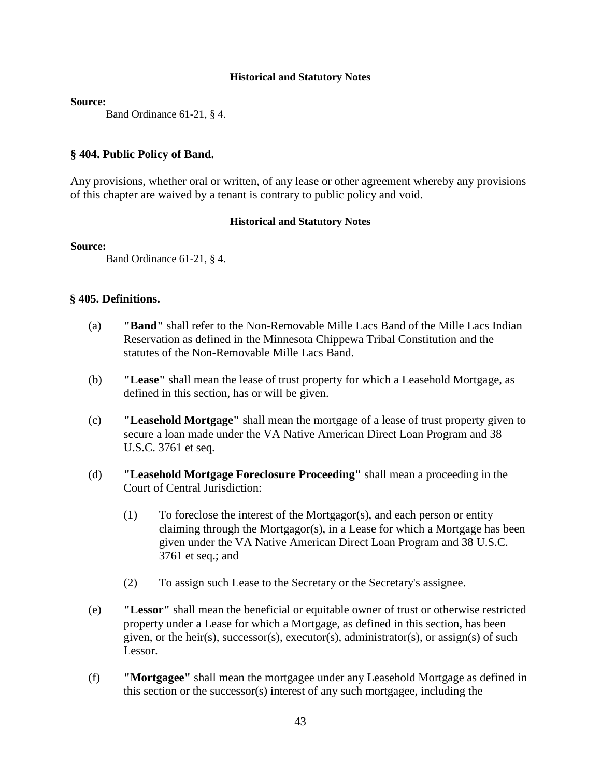**Source:**

Band Ordinance 61-21, § 4.

# **§ 404. Public Policy of Band.**

Any provisions, whether oral or written, of any lease or other agreement whereby any provisions of this chapter are waived by a tenant is contrary to public policy and void.

# **Historical and Statutory Notes**

#### **Source:**

Band Ordinance 61-21, § 4.

# **§ 405. Definitions.**

- (a) **"Band"** shall refer to the Non-Removable Mille Lacs Band of the Mille Lacs Indian Reservation as defined in the Minnesota Chippewa Tribal Constitution and the statutes of the Non-Removable Mille Lacs Band.
- (b) **"Lease"** shall mean the lease of trust property for which a Leasehold Mortgage, as defined in this section, has or will be given.
- (c) **"Leasehold Mortgage"** shall mean the mortgage of a lease of trust property given to secure a loan made under the VA Native American Direct Loan Program and 38 U.S.C. 3761 et seq.
- (d) **"Leasehold Mortgage Foreclosure Proceeding"** shall mean a proceeding in the Court of Central Jurisdiction:
	- (1) To foreclose the interest of the Mortgagor(s), and each person or entity claiming through the Mortgagor(s), in a Lease for which a Mortgage has been given under the VA Native American Direct Loan Program and 38 U.S.C. 3761 et seq.; and
	- (2) To assign such Lease to the Secretary or the Secretary's assignee.
- (e) **"Lessor"** shall mean the beneficial or equitable owner of trust or otherwise restricted property under a Lease for which a Mortgage, as defined in this section, has been given, or the heir(s), successor(s), executor(s), administrator(s), or assign(s) of such Lessor.
- (f) **"Mortgagee"** shall mean the mortgagee under any Leasehold Mortgage as defined in this section or the successor(s) interest of any such mortgagee, including the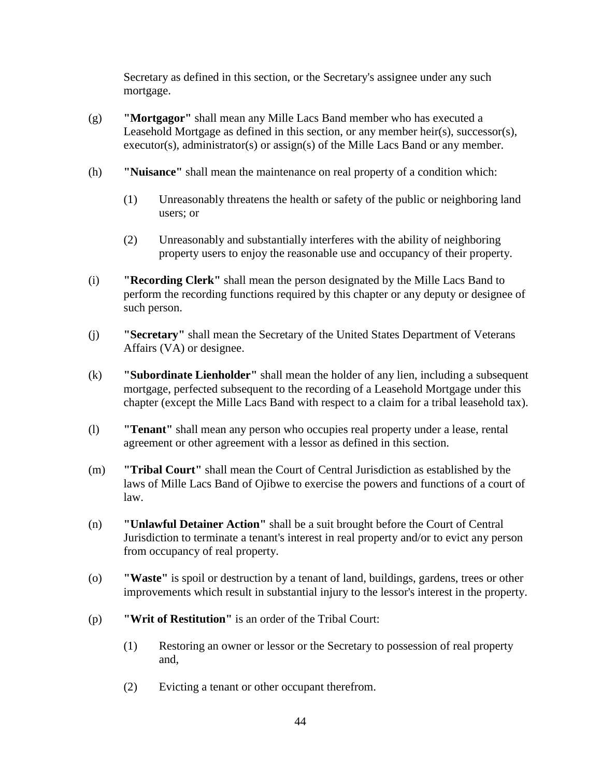Secretary as defined in this section, or the Secretary's assignee under any such mortgage.

- (g) **"Mortgagor"** shall mean any Mille Lacs Band member who has executed a Leasehold Mortgage as defined in this section, or any member heir(s), successor(s), executor(s), administrator(s) or assign(s) of the Mille Lacs Band or any member.
- (h) **"Nuisance"** shall mean the maintenance on real property of a condition which:
	- (1) Unreasonably threatens the health or safety of the public or neighboring land users; or
	- (2) Unreasonably and substantially interferes with the ability of neighboring property users to enjoy the reasonable use and occupancy of their property.
- (i) **"Recording Clerk"** shall mean the person designated by the Mille Lacs Band to perform the recording functions required by this chapter or any deputy or designee of such person.
- (j) **"Secretary"** shall mean the Secretary of the United States Department of Veterans Affairs (VA) or designee.
- (k) **"Subordinate Lienholder"** shall mean the holder of any lien, including a subsequent mortgage, perfected subsequent to the recording of a Leasehold Mortgage under this chapter (except the Mille Lacs Band with respect to a claim for a tribal leasehold tax).
- (l) **"Tenant"** shall mean any person who occupies real property under a lease, rental agreement or other agreement with a lessor as defined in this section.
- (m) **"Tribal Court"** shall mean the Court of Central Jurisdiction as established by the laws of Mille Lacs Band of Ojibwe to exercise the powers and functions of a court of law.
- (n) **"Unlawful Detainer Action"** shall be a suit brought before the Court of Central Jurisdiction to terminate a tenant's interest in real property and/or to evict any person from occupancy of real property.
- (o) **"Waste"** is spoil or destruction by a tenant of land, buildings, gardens, trees or other improvements which result in substantial injury to the lessor's interest in the property.
- (p) **"Writ of Restitution"** is an order of the Tribal Court:
	- (1) Restoring an owner or lessor or the Secretary to possession of real property and,
	- (2) Evicting a tenant or other occupant therefrom.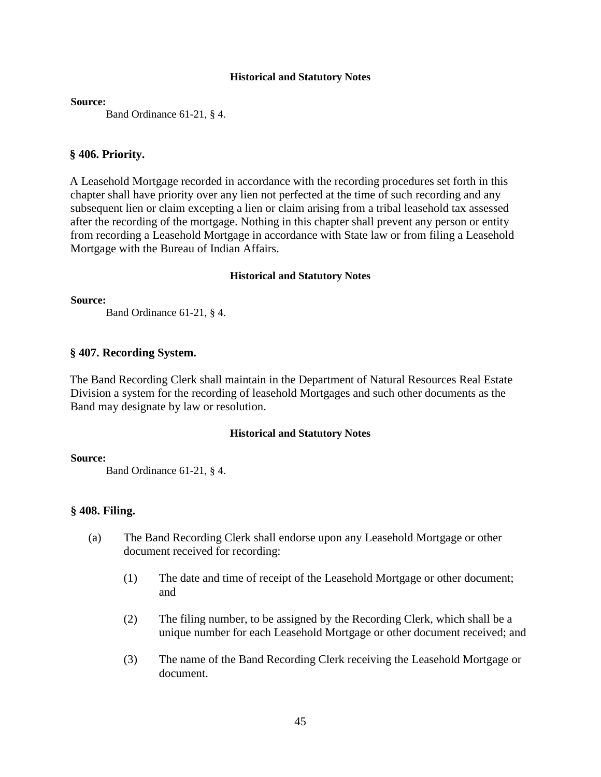**Source:**

Band Ordinance 61-21, § 4.

# **§ 406. Priority.**

A Leasehold Mortgage recorded in accordance with the recording procedures set forth in this chapter shall have priority over any lien not perfected at the time of such recording and any subsequent lien or claim excepting a lien or claim arising from a tribal leasehold tax assessed after the recording of the mortgage. Nothing in this chapter shall prevent any person or entity from recording a Leasehold Mortgage in accordance with State law or from filing a Leasehold Mortgage with the Bureau of Indian Affairs.

#### **Historical and Statutory Notes**

**Source:**

Band Ordinance 61-21, § 4.

# **§ 407. Recording System.**

The Band Recording Clerk shall maintain in the Department of Natural Resources Real Estate Division a system for the recording of leasehold Mortgages and such other documents as the Band may designate by law or resolution.

# **Historical and Statutory Notes**

#### **Source:**

Band Ordinance 61-21, § 4.

# **§ 408. Filing.**

- (a) The Band Recording Clerk shall endorse upon any Leasehold Mortgage or other document received for recording:
	- (1) The date and time of receipt of the Leasehold Mortgage or other document; and
	- (2) The filing number, to be assigned by the Recording Clerk, which shall be a unique number for each Leasehold Mortgage or other document received; and
	- (3) The name of the Band Recording Clerk receiving the Leasehold Mortgage or document.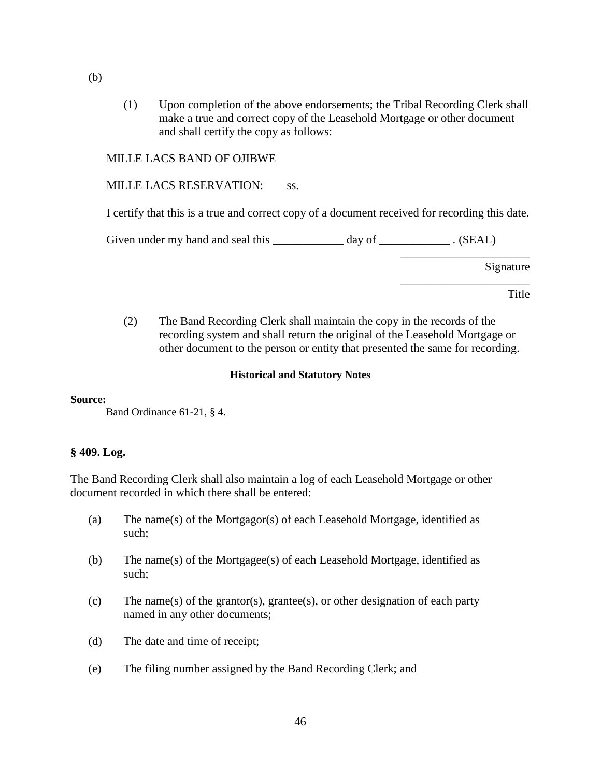(1) Upon completion of the above endorsements; the Tribal Recording Clerk shall make a true and correct copy of the Leasehold Mortgage or other document and shall certify the copy as follows:

# MILLE LACS BAND OF OJIBWE

# MILLE LACS RESERVATION: ss.

I certify that this is a true and correct copy of a document received for recording this date.

Given under my hand and seal this \_\_\_\_\_\_\_\_\_\_\_\_ day of \_\_\_\_\_\_\_\_\_\_\_\_\_\_\_. (SEAL)

Signature

\_\_\_\_\_\_\_\_\_\_\_\_\_\_\_\_\_\_\_\_\_\_

\_\_\_\_\_\_\_\_\_\_\_\_\_\_\_\_\_\_\_\_\_\_

Title

(2) The Band Recording Clerk shall maintain the copy in the records of the recording system and shall return the original of the Leasehold Mortgage or other document to the person or entity that presented the same for recording.

# **Historical and Statutory Notes**

**Source:**

Band Ordinance 61-21, § 4.

# **§ 409. Log.**

The Band Recording Clerk shall also maintain a log of each Leasehold Mortgage or other document recorded in which there shall be entered:

- (a) The name(s) of the Mortgagor(s) of each Leasehold Mortgage, identified as such;
- (b) The name(s) of the Mortgagee(s) of each Leasehold Mortgage, identified as such;
- (c) The name(s) of the grantor(s), grantee(s), or other designation of each party named in any other documents;
- (d) The date and time of receipt;
- (e) The filing number assigned by the Band Recording Clerk; and

(b)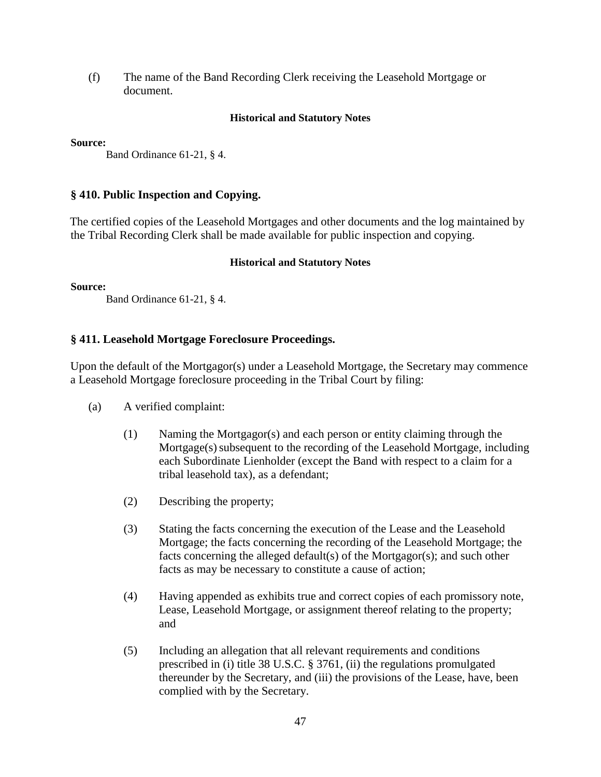(f) The name of the Band Recording Clerk receiving the Leasehold Mortgage or document.

# **Historical and Statutory Notes**

**Source:**

Band Ordinance 61-21, § 4.

# **§ 410. Public Inspection and Copying.**

The certified copies of the Leasehold Mortgages and other documents and the log maintained by the Tribal Recording Clerk shall be made available for public inspection and copying.

# **Historical and Statutory Notes**

**Source:**

Band Ordinance 61-21, § 4.

# **§ 411. Leasehold Mortgage Foreclosure Proceedings.**

Upon the default of the Mortgagor(s) under a Leasehold Mortgage, the Secretary may commence a Leasehold Mortgage foreclosure proceeding in the Tribal Court by filing:

- (a) A verified complaint:
	- (1) Naming the Mortgagor(s) and each person or entity claiming through the Mortgage(s) subsequent to the recording of the Leasehold Mortgage, including each Subordinate Lienholder (except the Band with respect to a claim for a tribal leasehold tax), as a defendant;
	- (2) Describing the property;
	- (3) Stating the facts concerning the execution of the Lease and the Leasehold Mortgage; the facts concerning the recording of the Leasehold Mortgage; the facts concerning the alleged default(s) of the Mortgagor(s); and such other facts as may be necessary to constitute a cause of action;
	- (4) Having appended as exhibits true and correct copies of each promissory note, Lease, Leasehold Mortgage, or assignment thereof relating to the property; and
	- (5) Including an allegation that all relevant requirements and conditions prescribed in (i) title 38 U.S.C. § 3761, (ii) the regulations promulgated thereunder by the Secretary, and (iii) the provisions of the Lease, have, been complied with by the Secretary.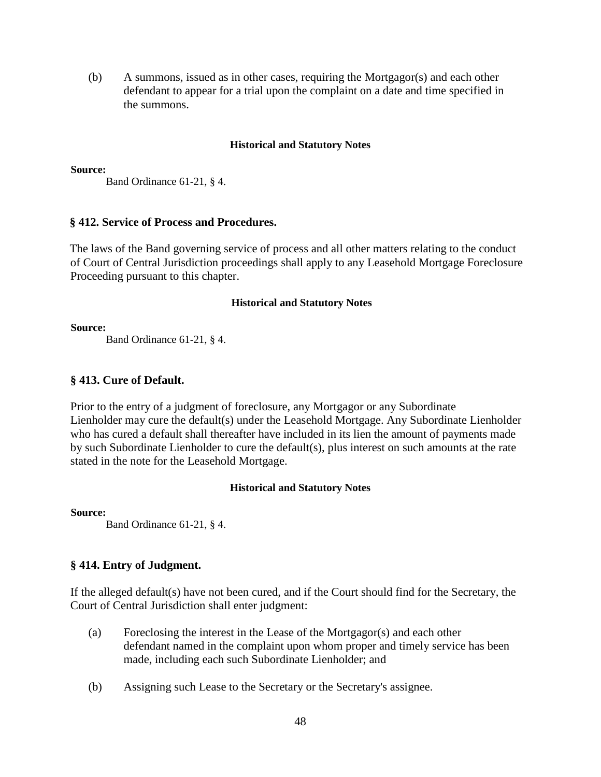(b) A summons, issued as in other cases, requiring the Mortgagor(s) and each other defendant to appear for a trial upon the complaint on a date and time specified in the summons.

# **Historical and Statutory Notes**

#### **Source:**

Band Ordinance 61-21, § 4.

# **§ 412. Service of Process and Procedures.**

The laws of the Band governing service of process and all other matters relating to the conduct of Court of Central Jurisdiction proceedings shall apply to any Leasehold Mortgage Foreclosure Proceeding pursuant to this chapter.

#### **Historical and Statutory Notes**

#### **Source:**

Band Ordinance 61-21, § 4.

# **§ 413. Cure of Default.**

Prior to the entry of a judgment of foreclosure, any Mortgagor or any Subordinate Lienholder may cure the default(s) under the Leasehold Mortgage. Any Subordinate Lienholder who has cured a default shall thereafter have included in its lien the amount of payments made by such Subordinate Lienholder to cure the default(s), plus interest on such amounts at the rate stated in the note for the Leasehold Mortgage.

## **Historical and Statutory Notes**

#### **Source:**

Band Ordinance 61-21, § 4.

# **§ 414. Entry of Judgment.**

If the alleged default(s) have not been cured, and if the Court should find for the Secretary, the Court of Central Jurisdiction shall enter judgment:

- (a) Foreclosing the interest in the Lease of the Mortgagor(s) and each other defendant named in the complaint upon whom proper and timely service has been made, including each such Subordinate Lienholder; and
- (b) Assigning such Lease to the Secretary or the Secretary's assignee.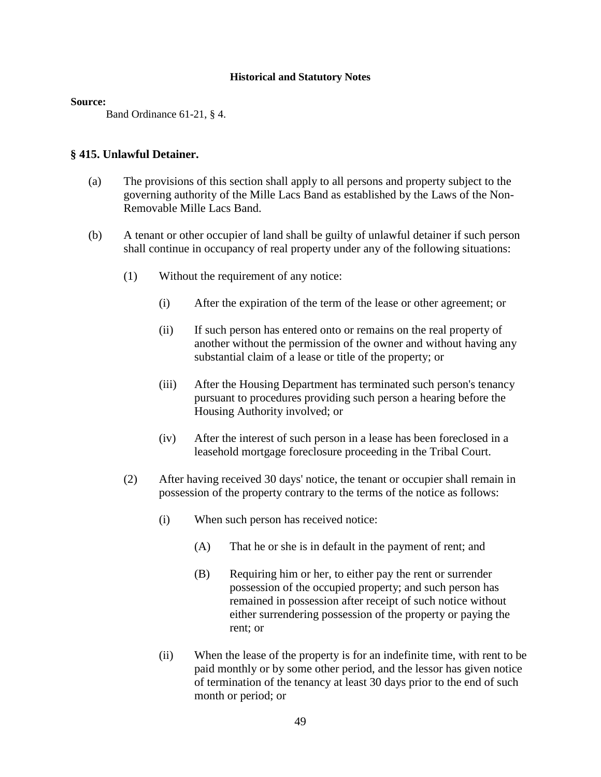#### **Source:**

Band Ordinance 61-21, § 4.

# **§ 415. Unlawful Detainer.**

- (a) The provisions of this section shall apply to all persons and property subject to the governing authority of the Mille Lacs Band as established by the Laws of the Non-Removable Mille Lacs Band.
- (b) A tenant or other occupier of land shall be guilty of unlawful detainer if such person shall continue in occupancy of real property under any of the following situations:
	- (1) Without the requirement of any notice:
		- (i) After the expiration of the term of the lease or other agreement; or
		- (ii) If such person has entered onto or remains on the real property of another without the permission of the owner and without having any substantial claim of a lease or title of the property; or
		- (iii) After the Housing Department has terminated such person's tenancy pursuant to procedures providing such person a hearing before the Housing Authority involved; or
		- (iv) After the interest of such person in a lease has been foreclosed in a leasehold mortgage foreclosure proceeding in the Tribal Court.
	- (2) After having received 30 days' notice, the tenant or occupier shall remain in possession of the property contrary to the terms of the notice as follows:
		- (i) When such person has received notice:
			- (A) That he or she is in default in the payment of rent; and
			- (B) Requiring him or her, to either pay the rent or surrender possession of the occupied property; and such person has remained in possession after receipt of such notice without either surrendering possession of the property or paying the rent; or
		- (ii) When the lease of the property is for an indefinite time, with rent to be paid monthly or by some other period, and the lessor has given notice of termination of the tenancy at least 30 days prior to the end of such month or period; or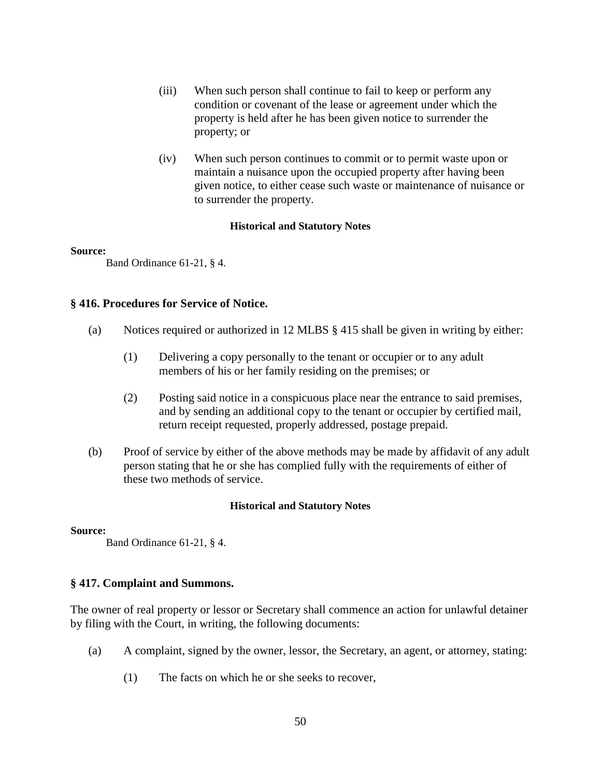- (iii) When such person shall continue to fail to keep or perform any condition or covenant of the lease or agreement under which the property is held after he has been given notice to surrender the property; or
- (iv) When such person continues to commit or to permit waste upon or maintain a nuisance upon the occupied property after having been given notice, to either cease such waste or maintenance of nuisance or to surrender the property.

#### **Source:**

Band Ordinance 61-21, § 4.

# **§ 416. Procedures for Service of Notice.**

- (a) Notices required or authorized in 12 MLBS § 415 shall be given in writing by either:
	- (1) Delivering a copy personally to the tenant or occupier or to any adult members of his or her family residing on the premises; or
	- (2) Posting said notice in a conspicuous place near the entrance to said premises, and by sending an additional copy to the tenant or occupier by certified mail, return receipt requested, properly addressed, postage prepaid.
- (b) Proof of service by either of the above methods may be made by affidavit of any adult person stating that he or she has complied fully with the requirements of either of these two methods of service.

# **Historical and Statutory Notes**

#### **Source:**

Band Ordinance 61-21, § 4.

# **§ 417. Complaint and Summons.**

The owner of real property or lessor or Secretary shall commence an action for unlawful detainer by filing with the Court, in writing, the following documents:

- (a) A complaint, signed by the owner, lessor, the Secretary, an agent, or attorney, stating:
	- (1) The facts on which he or she seeks to recover,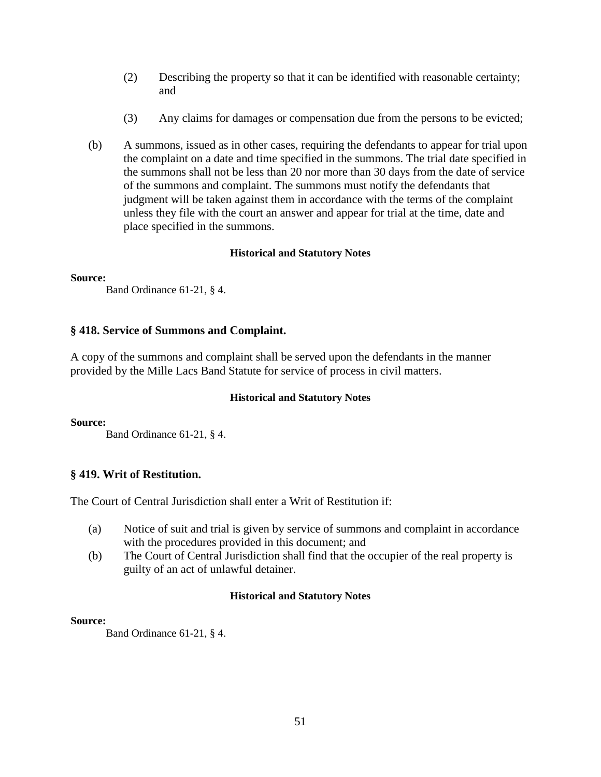- (2) Describing the property so that it can be identified with reasonable certainty; and
- (3) Any claims for damages or compensation due from the persons to be evicted;
- (b) A summons, issued as in other cases, requiring the defendants to appear for trial upon the complaint on a date and time specified in the summons. The trial date specified in the summons shall not be less than 20 nor more than 30 days from the date of service of the summons and complaint. The summons must notify the defendants that judgment will be taken against them in accordance with the terms of the complaint unless they file with the court an answer and appear for trial at the time, date and place specified in the summons.

# **Source:**

Band Ordinance 61-21, § 4.

# **§ 418. Service of Summons and Complaint.**

A copy of the summons and complaint shall be served upon the defendants in the manner provided by the Mille Lacs Band Statute for service of process in civil matters.

# **Historical and Statutory Notes**

# **Source:**

Band Ordinance 61-21, § 4.

# **§ 419. Writ of Restitution.**

The Court of Central Jurisdiction shall enter a Writ of Restitution if:

- (a) Notice of suit and trial is given by service of summons and complaint in accordance with the procedures provided in this document; and
- (b) The Court of Central Jurisdiction shall find that the occupier of the real property is guilty of an act of unlawful detainer.

# **Historical and Statutory Notes**

# **Source:**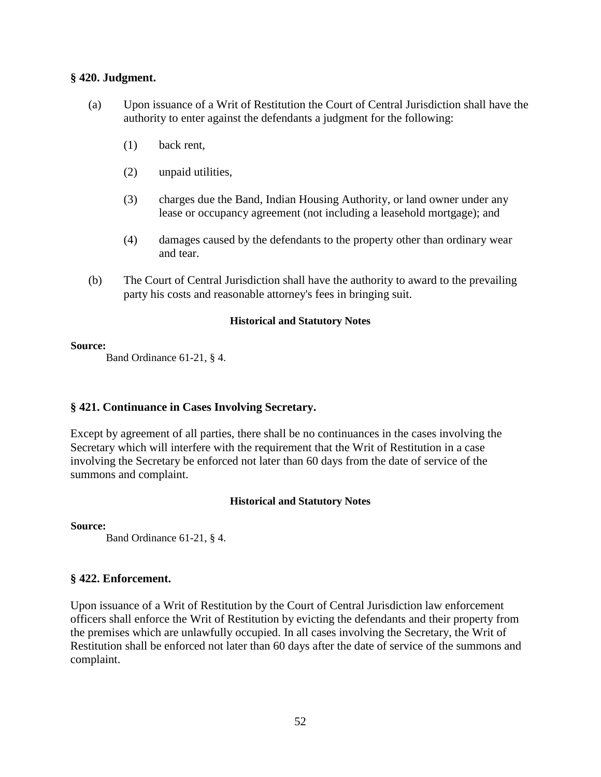# **§ 420. Judgment.**

- (a) Upon issuance of a Writ of Restitution the Court of Central Jurisdiction shall have the authority to enter against the defendants a judgment for the following:
	- (1) back rent,
	- (2) unpaid utilities,
	- (3) charges due the Band, Indian Housing Authority, or land owner under any lease or occupancy agreement (not including a leasehold mortgage); and
	- (4) damages caused by the defendants to the property other than ordinary wear and tear.
- (b) The Court of Central Jurisdiction shall have the authority to award to the prevailing party his costs and reasonable attorney's fees in bringing suit.

# **Historical and Statutory Notes**

#### **Source:**

Band Ordinance 61-21, § 4.

# **§ 421. Continuance in Cases Involving Secretary.**

Except by agreement of all parties, there shall be no continuances in the cases involving the Secretary which will interfere with the requirement that the Writ of Restitution in a case involving the Secretary be enforced not later than 60 days from the date of service of the summons and complaint.

# **Historical and Statutory Notes**

**Source:**

Band Ordinance 61-21, § 4.

# **§ 422. Enforcement.**

Upon issuance of a Writ of Restitution by the Court of Central Jurisdiction law enforcement officers shall enforce the Writ of Restitution by evicting the defendants and their property from the premises which are unlawfully occupied. In all cases involving the Secretary, the Writ of Restitution shall be enforced not later than 60 days after the date of service of the summons and complaint.